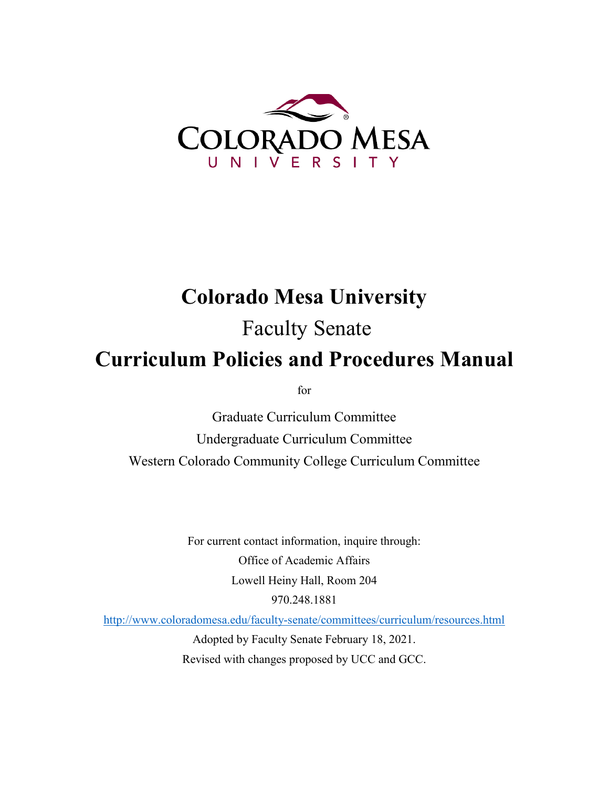

# **Colorado Mesa University**

# Faculty Senate **Curriculum Policies and Procedures Manual**

for

Graduate Curriculum Committee Undergraduate Curriculum Committee Western Colorado Community College Curriculum Committee

> For current contact information, inquire through: Office of Academic Affairs Lowell Heiny Hall, Room 204 970.248.1881

<http://www.coloradomesa.edu/faculty-senate/committees/curriculum/resources.html>

Adopted by Faculty Senate February 18, 2021. Revised with changes proposed by UCC and GCC.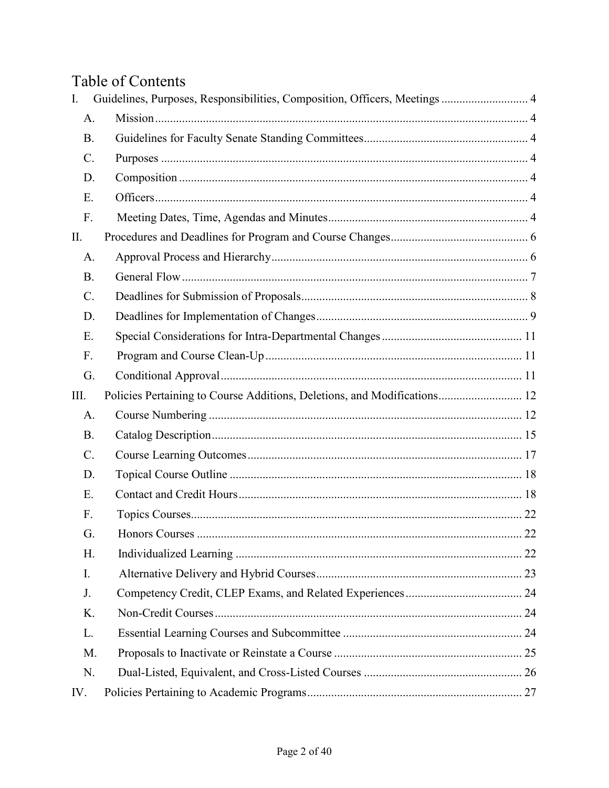# Table of Contents

| I.              | Guidelines, Purposes, Responsibilities, Composition, Officers, Meetings  4 |    |
|-----------------|----------------------------------------------------------------------------|----|
| A.              |                                                                            |    |
| <b>B.</b>       |                                                                            |    |
| $\mathbf{C}$ .  |                                                                            |    |
| D.              |                                                                            |    |
| E.              |                                                                            |    |
| F.              |                                                                            |    |
| II.             |                                                                            |    |
| A.              |                                                                            |    |
| <b>B.</b>       |                                                                            |    |
| $C$ .           |                                                                            |    |
| D.              |                                                                            |    |
| E.              |                                                                            |    |
| F.              |                                                                            |    |
| G.              |                                                                            |    |
| III.            | Policies Pertaining to Course Additions, Deletions, and Modifications 12   |    |
| A.              |                                                                            |    |
| <b>B.</b>       |                                                                            |    |
| $\mathcal{C}$ . |                                                                            |    |
| D.              |                                                                            |    |
| E.              |                                                                            |    |
| F.              |                                                                            |    |
| G.              | <b>Honors Courses</b>                                                      | 22 |
| Η.              |                                                                            |    |
| I.              |                                                                            |    |
| J.              |                                                                            |    |
| K.              |                                                                            |    |
| L.              |                                                                            |    |
| M.              |                                                                            |    |
| N.              |                                                                            |    |
| IV.             |                                                                            |    |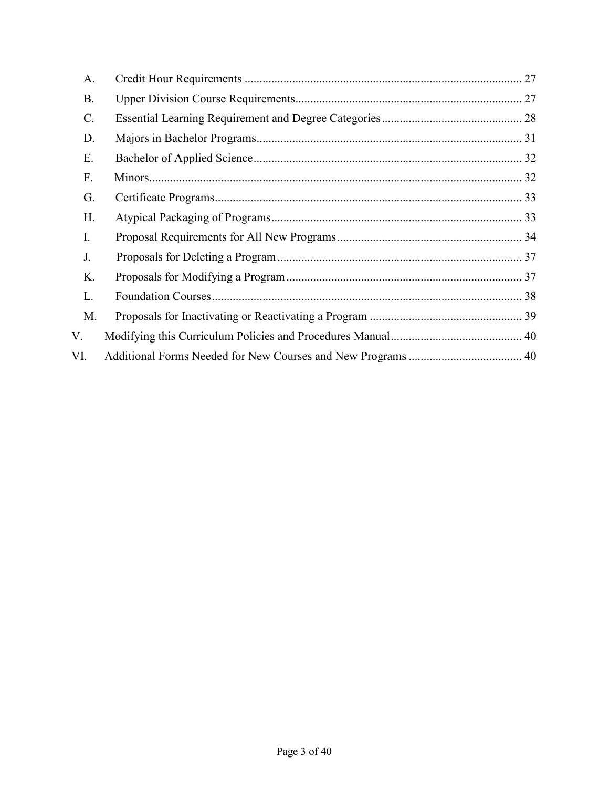| A.              |  |
|-----------------|--|
| <b>B.</b>       |  |
| $\mathcal{C}$ . |  |
| D.              |  |
| Ε.              |  |
| F.              |  |
| G.              |  |
| Н.              |  |
| Ι.              |  |
| J.              |  |
| Κ.              |  |
| L.              |  |
| M.              |  |
| V.              |  |
| VI.             |  |
|                 |  |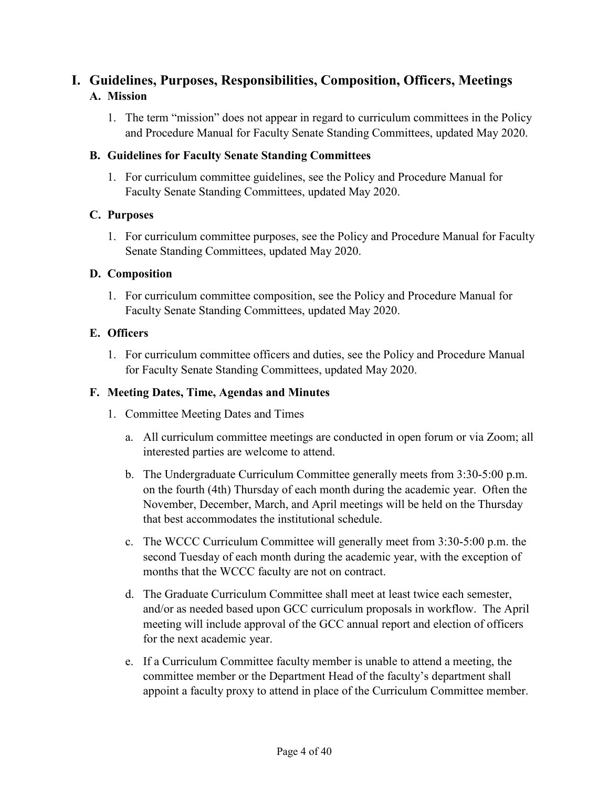# <span id="page-3-1"></span><span id="page-3-0"></span>**I. Guidelines, Purposes, Responsibilities, Composition, Officers, Meetings A. Mission**

1. The term "mission" does not appear in regard to curriculum committees in the Policy and Procedure Manual for Faculty Senate Standing Committees, updated May 2020.

#### <span id="page-3-2"></span>**B. Guidelines for Faculty Senate Standing Committees**

1. For curriculum committee guidelines, see the Policy and Procedure Manual for Faculty Senate Standing Committees, updated May 2020.

#### <span id="page-3-3"></span>**C. Purposes**

1. For curriculum committee purposes, see the Policy and Procedure Manual for Faculty Senate Standing Committees, updated May 2020.

#### <span id="page-3-4"></span>**D. Composition**

1. For curriculum committee composition, see the Policy and Procedure Manual for Faculty Senate Standing Committees, updated May 2020.

#### <span id="page-3-5"></span>**E. Officers**

1. For curriculum committee officers and duties, see the Policy and Procedure Manual for Faculty Senate Standing Committees, updated May 2020.

#### <span id="page-3-6"></span>**F. Meeting Dates, Time, Agendas and Minutes**

- 1. Committee Meeting Dates and Times
	- a. All curriculum committee meetings are conducted in open forum or via Zoom; all interested parties are welcome to attend.
	- b. The Undergraduate Curriculum Committee generally meets from 3:30-5:00 p.m. on the fourth (4th) Thursday of each month during the academic year. Often the November, December, March, and April meetings will be held on the Thursday that best accommodates the institutional schedule.
	- c. The WCCC Curriculum Committee will generally meet from 3:30-5:00 p.m. the second Tuesday of each month during the academic year, with the exception of months that the WCCC faculty are not on contract.
	- d. The Graduate Curriculum Committee shall meet at least twice each semester, and/or as needed based upon GCC curriculum proposals in workflow. The April meeting will include approval of the GCC annual report and election of officers for the next academic year.
	- e. If a Curriculum Committee faculty member is unable to attend a meeting, the committee member or the Department Head of the faculty's department shall appoint a faculty proxy to attend in place of the Curriculum Committee member.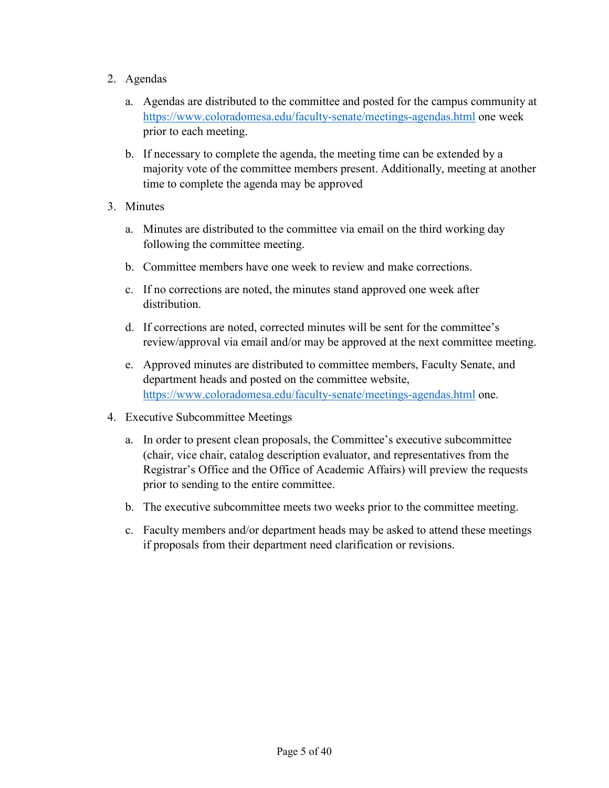- 2. Agendas
	- a. Agendas are distributed to the committee and posted for the campus community at <https://www.coloradomesa.edu/faculty-senate/meetings-agendas.html> one week prior to each meeting.
	- b. If necessary to complete the agenda, the meeting time can be extended by a majority vote of the committee members present. Additionally, meeting at another time to complete the agenda may be approved
- 3. Minutes
	- a. Minutes are distributed to the committee via email on the third working day following the committee meeting.
	- b. Committee members have one week to review and make corrections.
	- c. If no corrections are noted, the minutes stand approved one week after distribution.
	- d. If corrections are noted, corrected minutes will be sent for the committee's review/approval via email and/or may be approved at the next committee meeting.
	- e. Approved minutes are distributed to committee members, Faculty Senate, and department heads and posted on the committee website, <https://www.coloradomesa.edu/faculty-senate/meetings-agendas.html> one.
- 4. Executive Subcommittee Meetings
	- a. In order to present clean proposals, the Committee's executive subcommittee (chair, vice chair, catalog description evaluator, and representatives from the Registrar's Office and the Office of Academic Affairs) will preview the requests prior to sending to the entire committee.
	- b. The executive subcommittee meets two weeks prior to the committee meeting.
	- c. Faculty members and/or department heads may be asked to attend these meetings if proposals from their department need clarification or revisions.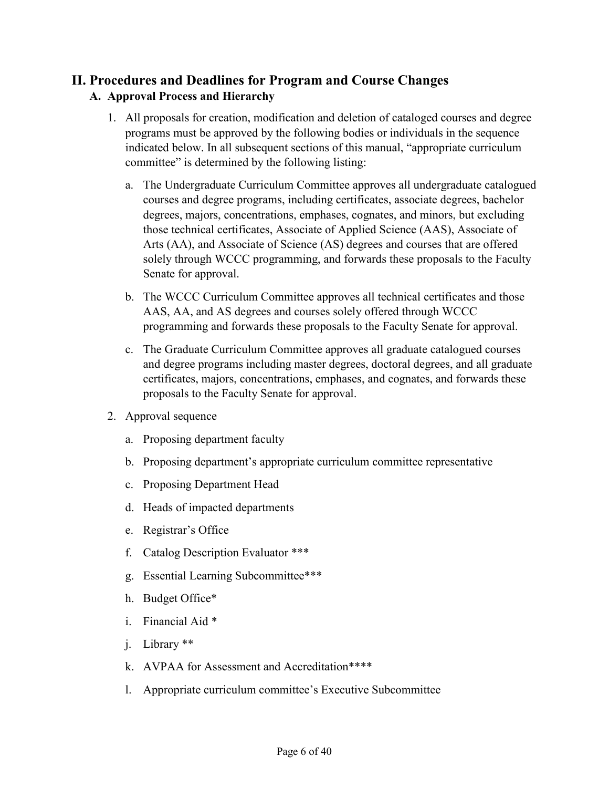## <span id="page-5-1"></span><span id="page-5-0"></span>**II. Procedures and Deadlines for Program and Course Changes A. Approval Process and Hierarchy**

- 1. All proposals for creation, modification and deletion of cataloged courses and degree programs must be approved by the following bodies or individuals in the sequence indicated below. In all subsequent sections of this manual, "appropriate curriculum committee" is determined by the following listing:
	- a. The Undergraduate Curriculum Committee approves all undergraduate catalogued courses and degree programs, including certificates, associate degrees, bachelor degrees, majors, concentrations, emphases, cognates, and minors, but excluding those technical certificates, Associate of Applied Science (AAS), Associate of Arts (AA), and Associate of Science (AS) degrees and courses that are offered solely through WCCC programming, and forwards these proposals to the Faculty Senate for approval.
	- b. The WCCC Curriculum Committee approves all technical certificates and those AAS, AA, and AS degrees and courses solely offered through WCCC programming and forwards these proposals to the Faculty Senate for approval.
	- c. The Graduate Curriculum Committee approves all graduate catalogued courses and degree programs including master degrees, doctoral degrees, and all graduate certificates, majors, concentrations, emphases, and cognates, and forwards these proposals to the Faculty Senate for approval.
- 2. Approval sequence
	- a. Proposing department faculty
	- b. Proposing department's appropriate curriculum committee representative
	- c. Proposing Department Head
	- d. Heads of impacted departments
	- e. Registrar's Office
	- f. Catalog Description Evaluator \*\*\*
	- g. Essential Learning Subcommittee\*\*\*
	- h. Budget Office\*
	- i. Financial Aid \*
	- j. Library \*\*
	- k. AVPAA for Assessment and Accreditation\*\*\*\*
	- l. Appropriate curriculum committee's Executive Subcommittee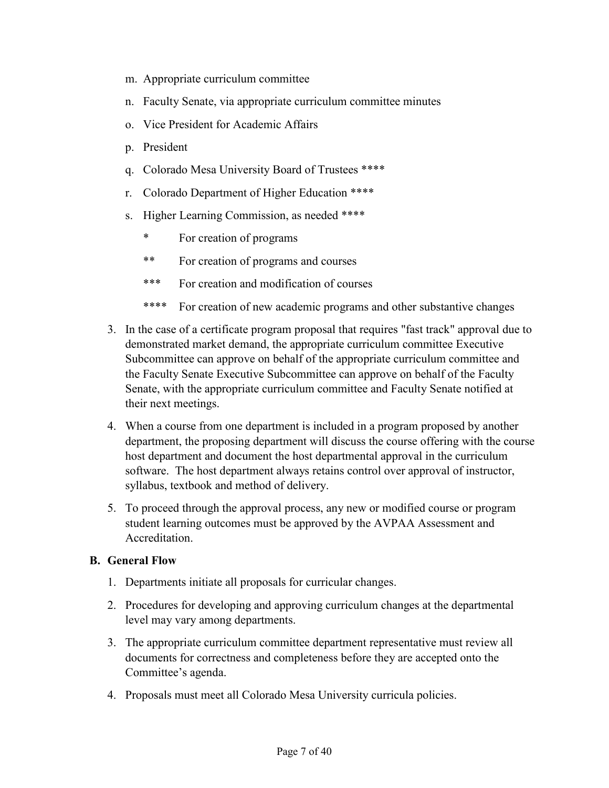- m. Appropriate curriculum committee
- n. Faculty Senate, via appropriate curriculum committee minutes
- o. Vice President for Academic Affairs
- p. President
- q. Colorado Mesa University Board of Trustees \*\*\*\*
- r. Colorado Department of Higher Education \*\*\*\*
- s. Higher Learning Commission, as needed \*\*\*\*
	- \* For creation of programs
	- \*\* For creation of programs and courses
	- \*\*\* For creation and modification of courses
	- \*\*\*\* For creation of new academic programs and other substantive changes
- 3. In the case of a certificate program proposal that requires "fast track" approval due to demonstrated market demand, the appropriate curriculum committee Executive Subcommittee can approve on behalf of the appropriate curriculum committee and the Faculty Senate Executive Subcommittee can approve on behalf of the Faculty Senate, with the appropriate curriculum committee and Faculty Senate notified at their next meetings.
- 4. When a course from one department is included in a program proposed by another department, the proposing department will discuss the course offering with the course host department and document the host departmental approval in the curriculum software. The host department always retains control over approval of instructor, syllabus, textbook and method of delivery.
- 5. To proceed through the approval process, any new or modified course or program student learning outcomes must be approved by the AVPAA Assessment and Accreditation.

#### <span id="page-6-0"></span>**B. General Flow**

- 1. Departments initiate all proposals for curricular changes.
- 2. Procedures for developing and approving curriculum changes at the departmental level may vary among departments.
- 3. The appropriate curriculum committee department representative must review all documents for correctness and completeness before they are accepted onto the Committee's agenda.
- 4. Proposals must meet all Colorado Mesa University curricula policies.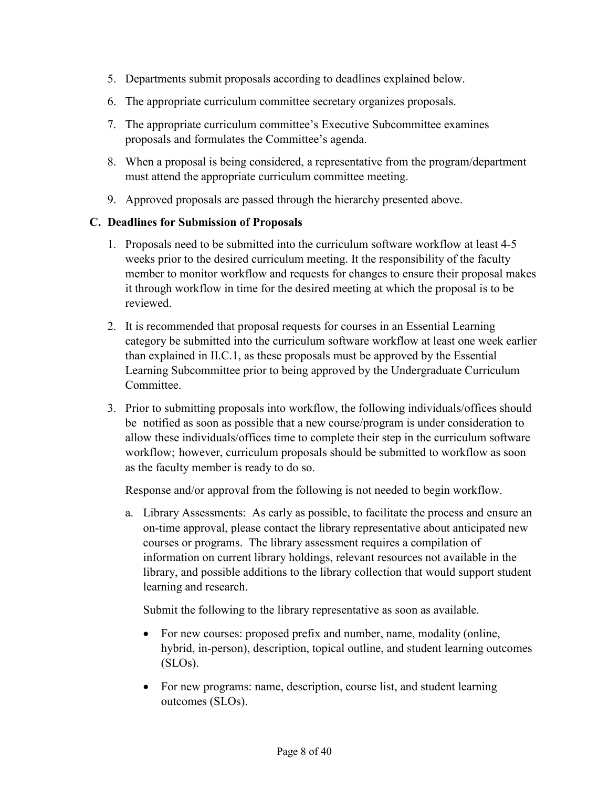- 5. Departments submit proposals according to deadlines explained below.
- 6. The appropriate curriculum committee secretary organizes proposals.
- 7. The appropriate curriculum committee's Executive Subcommittee examines proposals and formulates the Committee's agenda.
- 8. When a proposal is being considered, a representative from the program/department must attend the appropriate curriculum committee meeting.
- 9. Approved proposals are passed through the hierarchy presented above.

#### <span id="page-7-0"></span>**C. Deadlines for Submission of Proposals**

- 1. Proposals need to be submitted into the curriculum software workflow at least 4-5 weeks prior to the desired curriculum meeting. It the responsibility of the faculty member to monitor workflow and requests for changes to ensure their proposal makes it through workflow in time for the desired meeting at which the proposal is to be reviewed.
- 2. It is recommended that proposal requests for courses in an Essential Learning category be submitted into the curriculum software workflow at least one week earlier than explained in II.C.1, as these proposals must be approved by the Essential Learning Subcommittee prior to being approved by the Undergraduate Curriculum Committee.
- 3. Prior to submitting proposals into workflow, the following individuals/offices should be notified as soon as possible that a new course/program is under consideration to allow these individuals/offices time to complete their step in the curriculum software workflow; however, curriculum proposals should be submitted to workflow as soon as the faculty member is ready to do so.

Response and/or approval from the following is not needed to begin workflow.

a. Library Assessments: As early as possible, to facilitate the process and ensure an on-time approval, please contact the library representative about anticipated new courses or programs. The library assessment requires a compilation of information on current library holdings, relevant resources not available in the library, and possible additions to the library collection that would support student learning and research.

Submit the following to the library representative as soon as available.

- For new courses: proposed prefix and number, name, modality (online, hybrid, in-person), description, topical outline, and student learning outcomes (SLOs).
- For new programs: name, description, course list, and student learning outcomes (SLOs).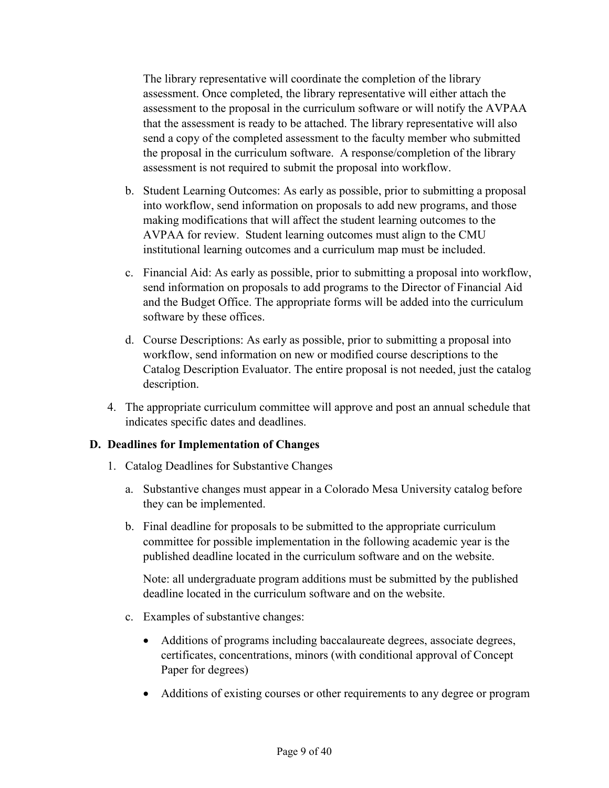The library representative will coordinate the completion of the library assessment. Once completed, the library representative will either attach the assessment to the proposal in the curriculum software or will notify the AVPAA that the assessment is ready to be attached. The library representative will also send a copy of the completed assessment to the faculty member who submitted the proposal in the curriculum software. A response/completion of the library assessment is not required to submit the proposal into workflow.

- b. Student Learning Outcomes: As early as possible, prior to submitting a proposal into workflow, send information on proposals to add new programs, and those making modifications that will affect the student learning outcomes to the AVPAA for review. Student learning outcomes must align to the CMU institutional learning outcomes and a curriculum map must be included.
- c. Financial Aid: As early as possible, prior to submitting a proposal into workflow, send information on proposals to add programs to the Director of Financial Aid and the Budget Office. The appropriate forms will be added into the curriculum software by these offices.
- d. Course Descriptions: As early as possible, prior to submitting a proposal into workflow, send information on new or modified course descriptions to the Catalog Description Evaluator. The entire proposal is not needed, just the catalog description.
- 4. The appropriate curriculum committee will approve and post an annual schedule that indicates specific dates and deadlines.

#### <span id="page-8-0"></span>**D. Deadlines for Implementation of Changes**

- 1. Catalog Deadlines for Substantive Changes
	- a. Substantive changes must appear in a Colorado Mesa University catalog before they can be implemented.
	- b. Final deadline for proposals to be submitted to the appropriate curriculum committee for possible implementation in the following academic year is the published deadline located in the curriculum software and on the website.

Note: all undergraduate program additions must be submitted by the published deadline located in the curriculum software and on the website.

- c. Examples of substantive changes:
	- Additions of programs including baccalaureate degrees, associate degrees, certificates, concentrations, minors (with conditional approval of Concept Paper for degrees)
	- Additions of existing courses or other requirements to any degree or program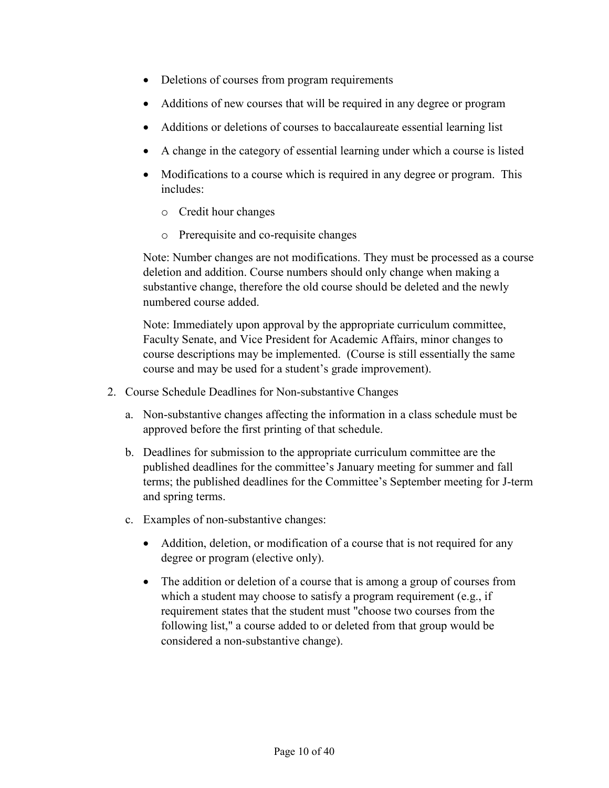- Deletions of courses from program requirements
- Additions of new courses that will be required in any degree or program
- Additions or deletions of courses to baccalaureate essential learning list
- A change in the category of essential learning under which a course is listed
- Modifications to a course which is required in any degree or program. This includes:
	- o Credit hour changes
	- o Prerequisite and co-requisite changes

Note: Number changes are not modifications. They must be processed as a course deletion and addition. Course numbers should only change when making a substantive change, therefore the old course should be deleted and the newly numbered course added.

Note: Immediately upon approval by the appropriate curriculum committee, Faculty Senate, and Vice President for Academic Affairs, minor changes to course descriptions may be implemented. (Course is still essentially the same course and may be used for a student's grade improvement).

- 2. Course Schedule Deadlines for Non-substantive Changes
	- a. Non-substantive changes affecting the information in a class schedule must be approved before the first printing of that schedule.
	- b. Deadlines for submission to the appropriate curriculum committee are the published deadlines for the committee's January meeting for summer and fall terms; the published deadlines for the Committee's September meeting for J-term and spring terms.
	- c. Examples of non-substantive changes:
		- Addition, deletion, or modification of a course that is not required for any degree or program (elective only).
		- The addition or deletion of a course that is among a group of courses from which a student may choose to satisfy a program requirement (e.g., if requirement states that the student must "choose two courses from the following list," a course added to or deleted from that group would be considered a non-substantive change).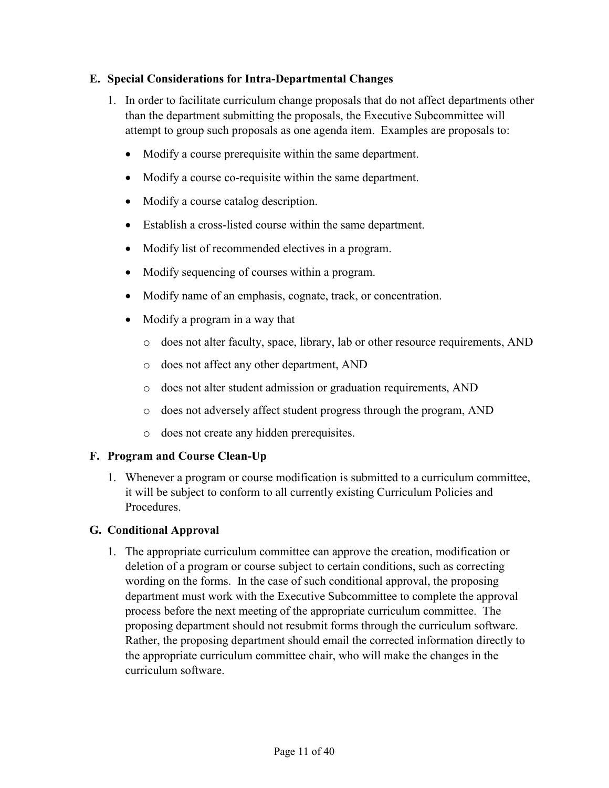#### <span id="page-10-0"></span>**E. Special Considerations for Intra-Departmental Changes**

- 1. In order to facilitate curriculum change proposals that do not affect departments other than the department submitting the proposals, the Executive Subcommittee will attempt to group such proposals as one agenda item. Examples are proposals to:
	- Modify a course prerequisite within the same department.
	- Modify a course co-requisite within the same department.
	- Modify a course catalog description.
	- Establish a cross-listed course within the same department.
	- Modify list of recommended electives in a program.
	- Modify sequencing of courses within a program.
	- Modify name of an emphasis, cognate, track, or concentration.
	- Modify a program in a way that
		- o does not alter faculty, space, library, lab or other resource requirements, AND
		- o does not affect any other department, AND
		- o does not alter student admission or graduation requirements, AND
		- o does not adversely affect student progress through the program, AND
		- o does not create any hidden prerequisites.

#### <span id="page-10-1"></span>**F. Program and Course Clean-Up**

1. Whenever a program or course modification is submitted to a curriculum committee, it will be subject to conform to all currently existing Curriculum Policies and Procedures.

#### <span id="page-10-2"></span>**G. Conditional Approval**

1. The appropriate curriculum committee can approve the creation, modification or deletion of a program or course subject to certain conditions, such as correcting wording on the forms. In the case of such conditional approval, the proposing department must work with the Executive Subcommittee to complete the approval process before the next meeting of the appropriate curriculum committee. The proposing department should not resubmit forms through the curriculum software. Rather, the proposing department should email the corrected information directly to the appropriate curriculum committee chair, who will make the changes in the curriculum software.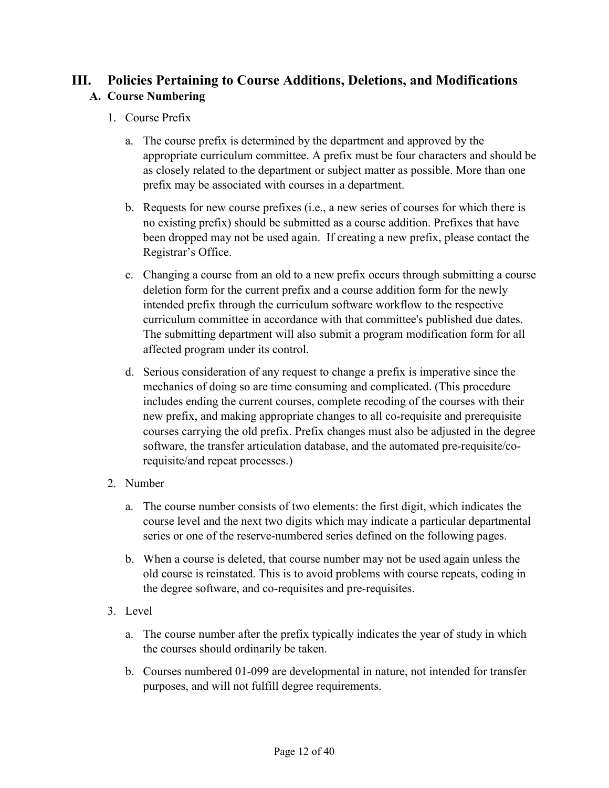# <span id="page-11-1"></span><span id="page-11-0"></span>**III. Policies Pertaining to Course Additions, Deletions, and Modifications A. Course Numbering**

#### 1. Course Prefix

- a. The course prefix is determined by the department and approved by the appropriate curriculum committee. A prefix must be four characters and should be as closely related to the department or subject matter as possible. More than one prefix may be associated with courses in a department.
- b. Requests for new course prefixes (i.e., a new series of courses for which there is no existing prefix) should be submitted as a course addition. Prefixes that have been dropped may not be used again. If creating a new prefix, please contact the Registrar's Office.
- c. Changing a course from an old to a new prefix occurs through submitting a course deletion form for the current prefix and a course addition form for the newly intended prefix through the curriculum software workflow to the respective curriculum committee in accordance with that committee's published due dates. The submitting department will also submit a program modification form for all affected program under its control.
- d. Serious consideration of any request to change a prefix is imperative since the mechanics of doing so are time consuming and complicated. (This procedure includes ending the current courses, complete recoding of the courses with their new prefix, and making appropriate changes to all co-requisite and prerequisite courses carrying the old prefix. Prefix changes must also be adjusted in the degree software, the transfer articulation database, and the automated pre-requisite/corequisite/and repeat processes.)
- 2. Number
	- a. The course number consists of two elements: the first digit, which indicates the course level and the next two digits which may indicate a particular departmental series or one of the reserve-numbered series defined on the following pages.
	- b. When a course is deleted, that course number may not be used again unless the old course is reinstated. This is to avoid problems with course repeats, coding in the degree software, and co-requisites and pre-requisites.
- 3. Level
	- a. The course number after the prefix typically indicates the year of study in which the courses should ordinarily be taken.
	- b. Courses numbered 01-099 are developmental in nature, not intended for transfer purposes, and will not fulfill degree requirements.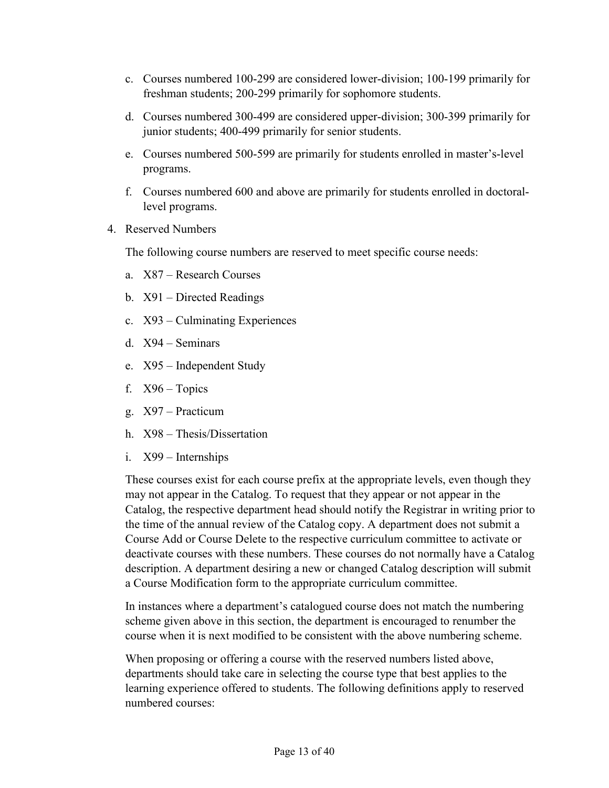- c. Courses numbered 100-299 are considered lower-division; 100-199 primarily for freshman students; 200-299 primarily for sophomore students.
- d. Courses numbered 300-499 are considered upper-division; 300-399 primarily for junior students; 400-499 primarily for senior students.
- e. Courses numbered 500-599 are primarily for students enrolled in master's-level programs.
- f. Courses numbered 600 and above are primarily for students enrolled in doctorallevel programs.
- 4. Reserved Numbers

The following course numbers are reserved to meet specific course needs:

- a. X87 Research Courses
- b. X91 Directed Readings
- c. X93 Culminating Experiences
- d. X94 Seminars
- e. X95 Independent Study
- f.  $X96 \text{Topics}$
- g. X97 Practicum
- h. X98 Thesis/Dissertation
- i. X99 Internships

These courses exist for each course prefix at the appropriate levels, even though they may not appear in the Catalog. To request that they appear or not appear in the Catalog, the respective department head should notify the Registrar in writing prior to the time of the annual review of the Catalog copy. A department does not submit a Course Add or Course Delete to the respective curriculum committee to activate or deactivate courses with these numbers. These courses do not normally have a Catalog description. A department desiring a new or changed Catalog description will submit a Course Modification form to the appropriate curriculum committee.

In instances where a department's catalogued course does not match the numbering scheme given above in this section, the department is encouraged to renumber the course when it is next modified to be consistent with the above numbering scheme.

When proposing or offering a course with the reserved numbers listed above, departments should take care in selecting the course type that best applies to the learning experience offered to students. The following definitions apply to reserved numbered courses: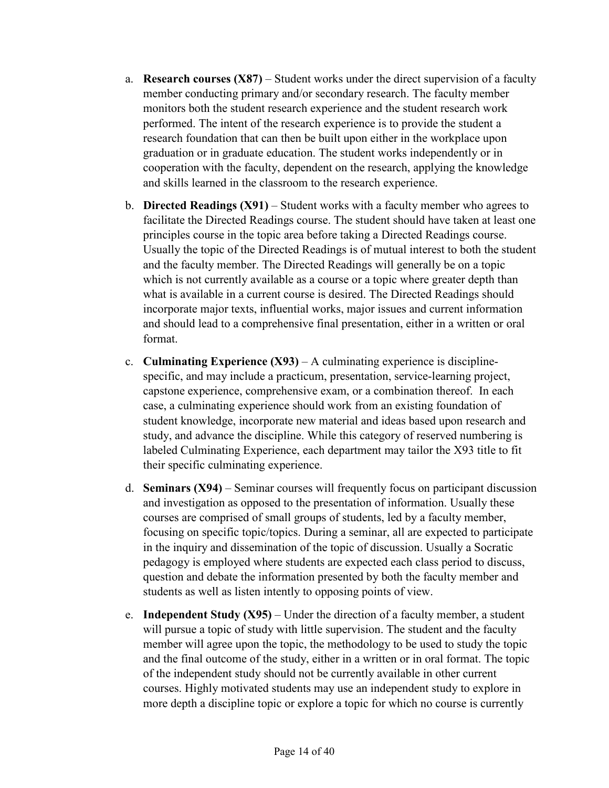- a. **Research courses (X87)** Student works under the direct supervision of a faculty member conducting primary and/or secondary research. The faculty member monitors both the student research experience and the student research work performed. The intent of the research experience is to provide the student a research foundation that can then be built upon either in the workplace upon graduation or in graduate education. The student works independently or in cooperation with the faculty, dependent on the research, applying the knowledge and skills learned in the classroom to the research experience.
- b. **Directed Readings (X91)** Student works with a faculty member who agrees to facilitate the Directed Readings course. The student should have taken at least one principles course in the topic area before taking a Directed Readings course. Usually the topic of the Directed Readings is of mutual interest to both the student and the faculty member. The Directed Readings will generally be on a topic which is not currently available as a course or a topic where greater depth than what is available in a current course is desired. The Directed Readings should incorporate major texts, influential works, major issues and current information and should lead to a comprehensive final presentation, either in a written or oral format.
- c. **Culminating Experience (X93)** A culminating experience is disciplinespecific, and may include a practicum, presentation, service-learning project, capstone experience, comprehensive exam, or a combination thereof. In each case, a culminating experience should work from an existing foundation of student knowledge, incorporate new material and ideas based upon research and study, and advance the discipline. While this category of reserved numbering is labeled Culminating Experience, each department may tailor the X93 title to fit their specific culminating experience.
- d. **Seminars (X94)** Seminar courses will frequently focus on participant discussion and investigation as opposed to the presentation of information. Usually these courses are comprised of small groups of students, led by a faculty member, focusing on specific topic/topics. During a seminar, all are expected to participate in the inquiry and dissemination of the topic of discussion. Usually a Socratic pedagogy is employed where students are expected each class period to discuss, question and debate the information presented by both the faculty member and students as well as listen intently to opposing points of view.
- e. **Independent Study (X95)** Under the direction of a faculty member, a student will pursue a topic of study with little supervision. The student and the faculty member will agree upon the topic, the methodology to be used to study the topic and the final outcome of the study, either in a written or in oral format. The topic of the independent study should not be currently available in other current courses. Highly motivated students may use an independent study to explore in more depth a discipline topic or explore a topic for which no course is currently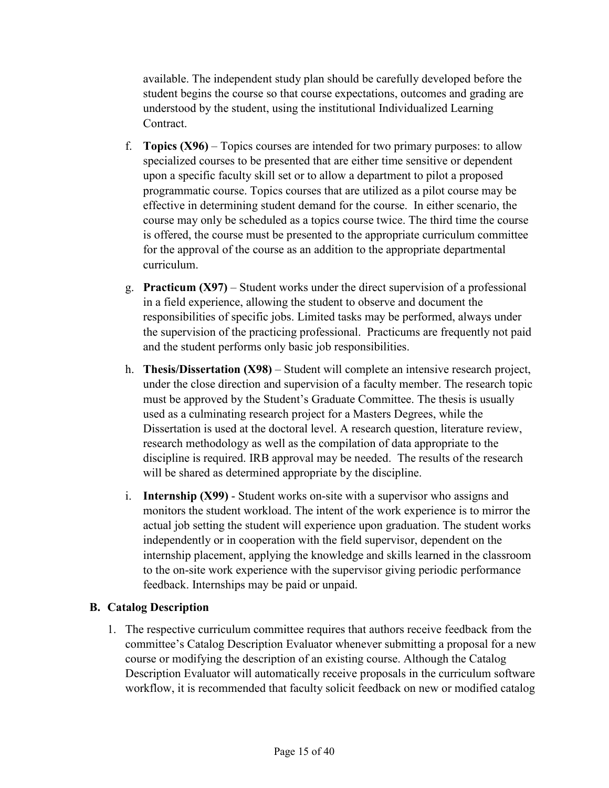available. The independent study plan should be carefully developed before the student begins the course so that course expectations, outcomes and grading are understood by the student, using the institutional Individualized Learning Contract.

- f. **Topics (X96)** Topics courses are intended for two primary purposes: to allow specialized courses to be presented that are either time sensitive or dependent upon a specific faculty skill set or to allow a department to pilot a proposed programmatic course. Topics courses that are utilized as a pilot course may be effective in determining student demand for the course. In either scenario, the course may only be scheduled as a topics course twice. The third time the course is offered, the course must be presented to the appropriate curriculum committee for the approval of the course as an addition to the appropriate departmental curriculum.
- g. **Practicum (X97)** Student works under the direct supervision of a professional in a field experience, allowing the student to observe and document the responsibilities of specific jobs. Limited tasks may be performed, always under the supervision of the practicing professional. Practicums are frequently not paid and the student performs only basic job responsibilities.
- h. **Thesis/Dissertation (X98)** Student will complete an intensive research project, under the close direction and supervision of a faculty member. The research topic must be approved by the Student's Graduate Committee. The thesis is usually used as a culminating research project for a Masters Degrees, while the Dissertation is used at the doctoral level. A research question, literature review, research methodology as well as the compilation of data appropriate to the discipline is required. IRB approval may be needed. The results of the research will be shared as determined appropriate by the discipline.
- i. **Internship (X99)** Student works on-site with a supervisor who assigns and monitors the student workload. The intent of the work experience is to mirror the actual job setting the student will experience upon graduation. The student works independently or in cooperation with the field supervisor, dependent on the internship placement, applying the knowledge and skills learned in the classroom to the on-site work experience with the supervisor giving periodic performance feedback. Internships may be paid or unpaid.

#### <span id="page-14-0"></span>**B. Catalog Description**

1. The respective curriculum committee requires that authors receive feedback from the committee's Catalog Description Evaluator whenever submitting a proposal for a new course or modifying the description of an existing course. Although the Catalog Description Evaluator will automatically receive proposals in the curriculum software workflow, it is recommended that faculty solicit feedback on new or modified catalog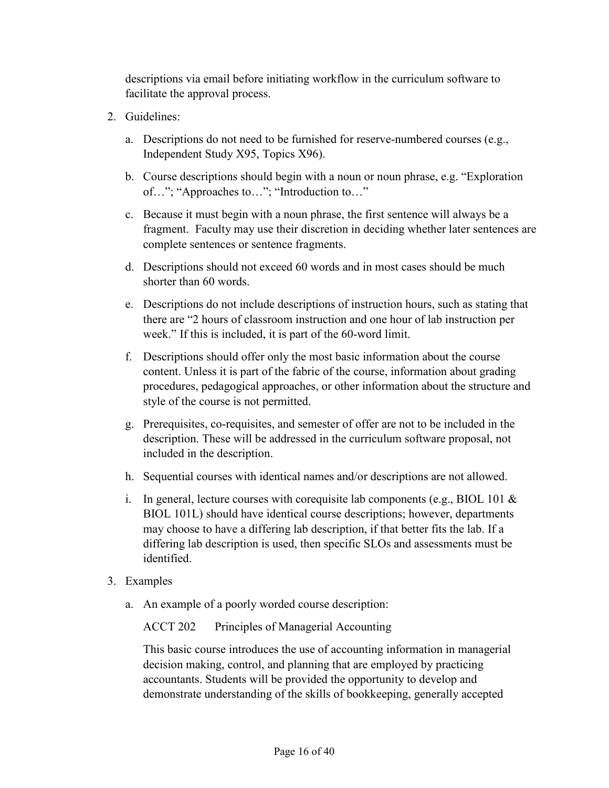descriptions via email before initiating workflow in the curriculum software to facilitate the approval process.

- 2. Guidelines:
	- a. Descriptions do not need to be furnished for reserve-numbered courses (e.g., Independent Study X95, Topics X96).
	- b. Course descriptions should begin with a noun or noun phrase, e.g. "Exploration of…"; "Approaches to…"; "Introduction to…"
	- c. Because it must begin with a noun phrase, the first sentence will always be a fragment. Faculty may use their discretion in deciding whether later sentences are complete sentences or sentence fragments.
	- d. Descriptions should not exceed 60 words and in most cases should be much shorter than 60 words.
	- e. Descriptions do not include descriptions of instruction hours, such as stating that there are "2 hours of classroom instruction and one hour of lab instruction per week." If this is included, it is part of the 60-word limit.
	- f. Descriptions should offer only the most basic information about the course content. Unless it is part of the fabric of the course, information about grading procedures, pedagogical approaches, or other information about the structure and style of the course is not permitted.
	- g. Prerequisites, co-requisites, and semester of offer are not to be included in the description. These will be addressed in the curriculum software proposal, not included in the description.
	- h. Sequential courses with identical names and/or descriptions are not allowed.
	- i. In general, lecture courses with corequisite lab components (e.g., BIOL 101  $\&$ BIOL 101L) should have identical course descriptions; however, departments may choose to have a differing lab description, if that better fits the lab. If a differing lab description is used, then specific SLOs and assessments must be identified.
- 3. Examples
	- a. An example of a poorly worded course description:

ACCT 202 Principles of Managerial Accounting

This basic course introduces the use of accounting information in managerial decision making, control, and planning that are employed by practicing accountants. Students will be provided the opportunity to develop and demonstrate understanding of the skills of bookkeeping, generally accepted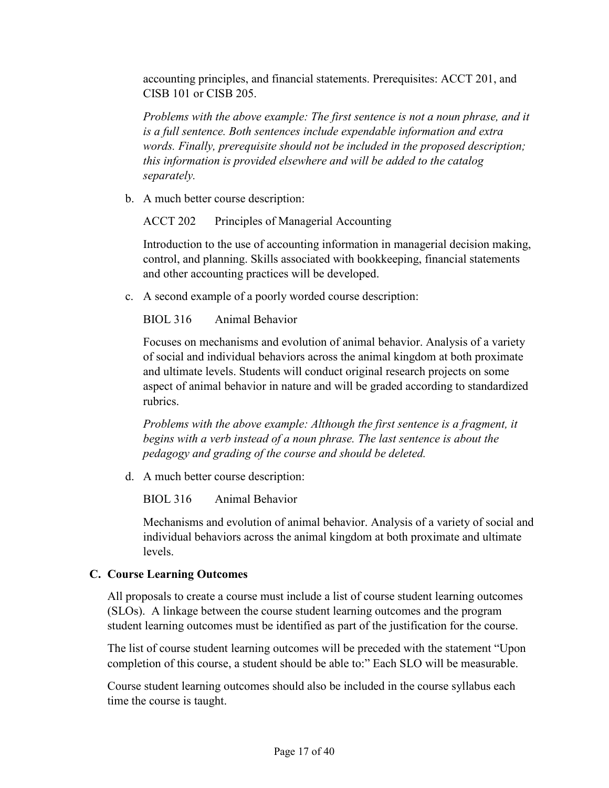accounting principles, and financial statements. Prerequisites: ACCT 201, and CISB 101 or CISB 205.

*Problems with the above example: The first sentence is not a noun phrase, and it is a full sentence. Both sentences include expendable information and extra words. Finally, prerequisite should not be included in the proposed description; this information is provided elsewhere and will be added to the catalog separately.*

b. A much better course description:

ACCT 202 Principles of Managerial Accounting

Introduction to the use of accounting information in managerial decision making, control, and planning. Skills associated with bookkeeping, financial statements and other accounting practices will be developed.

c. A second example of a poorly worded course description:

BIOL 316 Animal Behavior

Focuses on mechanisms and evolution of animal behavior. Analysis of a variety of social and individual behaviors across the animal kingdom at both proximate and ultimate levels. Students will conduct original research projects on some aspect of animal behavior in nature and will be graded according to standardized rubrics.

*Problems with the above example: Although the first sentence is a fragment, it begins with a verb instead of a noun phrase. The last sentence is about the pedagogy and grading of the course and should be deleted.*

d. A much better course description:

BIOL 316 Animal Behavior

Mechanisms and evolution of animal behavior. Analysis of a variety of social and individual behaviors across the animal kingdom at both proximate and ultimate levels.

#### <span id="page-16-0"></span>**C. Course Learning Outcomes**

All proposals to create a course must include a list of course student learning outcomes (SLOs). A linkage between the course student learning outcomes and the program student learning outcomes must be identified as part of the justification for the course.

The list of course student learning outcomes will be preceded with the statement "Upon completion of this course, a student should be able to:" Each SLO will be measurable.

Course student learning outcomes should also be included in the course syllabus each time the course is taught.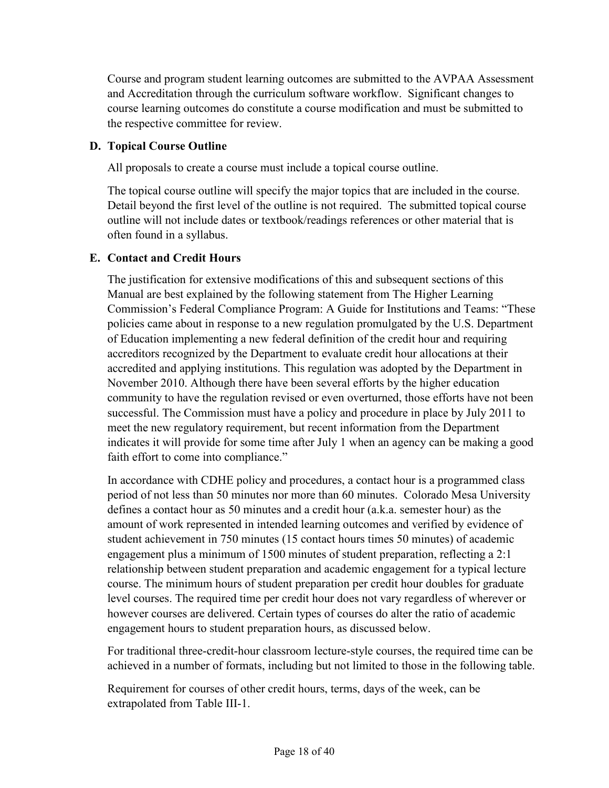Course and program student learning outcomes are submitted to the AVPAA Assessment and Accreditation through the curriculum software workflow. Significant changes to course learning outcomes do constitute a course modification and must be submitted to the respective committee for review.

#### <span id="page-17-0"></span>**D. Topical Course Outline**

All proposals to create a course must include a topical course outline.

The topical course outline will specify the major topics that are included in the course. Detail beyond the first level of the outline is not required. The submitted topical course outline will not include dates or textbook/readings references or other material that is often found in a syllabus.

#### <span id="page-17-1"></span>**E. Contact and Credit Hours**

The justification for extensive modifications of this and subsequent sections of this Manual are best explained by the following statement from The Higher Learning Commission's Federal Compliance Program: A Guide for Institutions and Teams: "These policies came about in response to a new regulation promulgated by the U.S. Department of Education implementing a new federal definition of the credit hour and requiring accreditors recognized by the Department to evaluate credit hour allocations at their accredited and applying institutions. This regulation was adopted by the Department in November 2010. Although there have been several efforts by the higher education community to have the regulation revised or even overturned, those efforts have not been successful. The Commission must have a policy and procedure in place by July 2011 to meet the new regulatory requirement, but recent information from the Department indicates it will provide for some time after July 1 when an agency can be making a good faith effort to come into compliance."

In accordance with CDHE policy and procedures, a contact hour is a programmed class period of not less than 50 minutes nor more than 60 minutes. Colorado Mesa University defines a contact hour as 50 minutes and a credit hour (a.k.a. semester hour) as the amount of work represented in intended learning outcomes and verified by evidence of student achievement in 750 minutes (15 contact hours times 50 minutes) of academic engagement plus a minimum of 1500 minutes of student preparation, reflecting a 2:1 relationship between student preparation and academic engagement for a typical lecture course. The minimum hours of student preparation per credit hour doubles for graduate level courses. The required time per credit hour does not vary regardless of wherever or however courses are delivered. Certain types of courses do alter the ratio of academic engagement hours to student preparation hours, as discussed below.

For traditional three-credit-hour classroom lecture-style courses, the required time can be achieved in a number of formats, including but not limited to those in the following table.

Requirement for courses of other credit hours, terms, days of the week, can be extrapolated from Table III-1.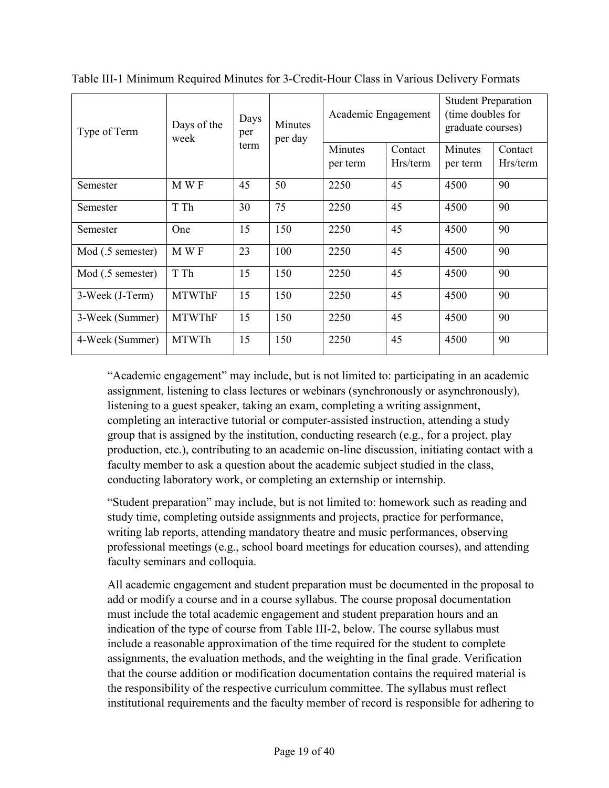| Type of Term      | Days of the<br>week | Days<br>per<br>term | <b>Minutes</b><br>per day | Academic Engagement |                     | <b>Student Preparation</b><br>(time doubles for<br>graduate courses) |                     |
|-------------------|---------------------|---------------------|---------------------------|---------------------|---------------------|----------------------------------------------------------------------|---------------------|
|                   |                     |                     |                           | Minutes<br>per term | Contact<br>Hrs/term | Minutes<br>per term                                                  | Contact<br>Hrs/term |
| Semester          | M W F               | 45                  | 50                        | 2250                | 45                  | 4500                                                                 | 90                  |
| Semester          | T Th                | 30                  | 75                        | 2250                | 45                  | 4500                                                                 | 90                  |
| Semester          | One                 | 15                  | 150                       | 2250                | 45                  | 4500                                                                 | 90                  |
| Mod (.5 semester) | M W F               | 23                  | 100                       | 2250                | 45                  | 4500                                                                 | 90                  |
| Mod (.5 semester) | T Th                | 15                  | 150                       | 2250                | 45                  | 4500                                                                 | 90                  |
| 3-Week (J-Term)   | <b>MTWThF</b>       | 15                  | 150                       | 2250                | 45                  | 4500                                                                 | 90                  |
| 3-Week (Summer)   | <b>MTWThF</b>       | 15                  | 150                       | 2250                | 45                  | 4500                                                                 | 90                  |
| 4-Week (Summer)   | <b>MTWTh</b>        | 15                  | 150                       | 2250                | 45                  | 4500                                                                 | 90                  |

Table III-1 Minimum Required Minutes for 3-Credit-Hour Class in Various Delivery Formats

"Academic engagement" may include, but is not limited to: participating in an academic assignment, listening to class lectures or webinars (synchronously or asynchronously), listening to a guest speaker, taking an exam, completing a writing assignment, completing an interactive tutorial or computer-assisted instruction, attending a study group that is assigned by the institution, conducting research (e.g., for a project, play production, etc.), contributing to an academic on-line discussion, initiating contact with a faculty member to ask a question about the academic subject studied in the class, conducting laboratory work, or completing an externship or internship.

"Student preparation" may include, but is not limited to: homework such as reading and study time, completing outside assignments and projects, practice for performance, writing lab reports, attending mandatory theatre and music performances, observing professional meetings (e.g., school board meetings for education courses), and attending faculty seminars and colloquia.

All academic engagement and student preparation must be documented in the proposal to add or modify a course and in a course syllabus. The course proposal documentation must include the total academic engagement and student preparation hours and an indication of the type of course from Table III-2, below. The course syllabus must include a reasonable approximation of the time required for the student to complete assignments, the evaluation methods, and the weighting in the final grade. Verification that the course addition or modification documentation contains the required material is the responsibility of the respective curriculum committee. The syllabus must reflect institutional requirements and the faculty member of record is responsible for adhering to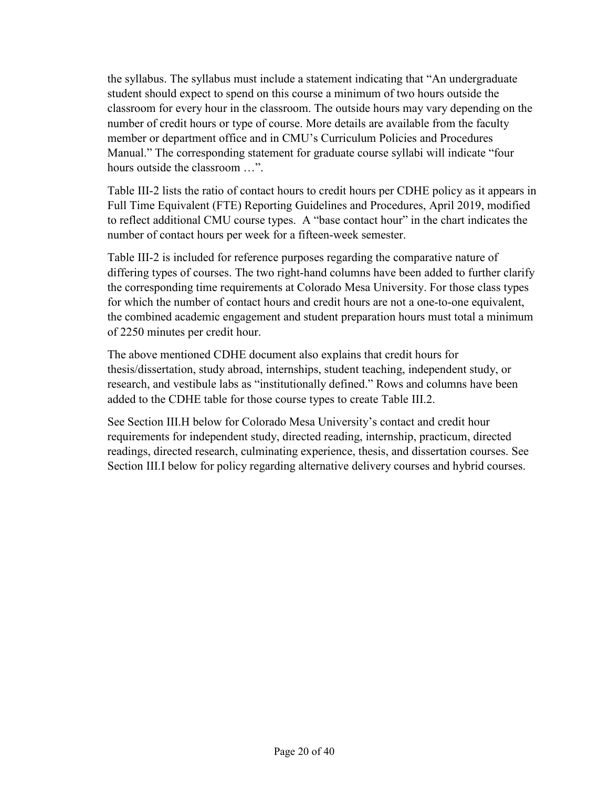the syllabus. The syllabus must include a statement indicating that "An undergraduate student should expect to spend on this course a minimum of two hours outside the classroom for every hour in the classroom. The outside hours may vary depending on the number of credit hours or type of course. More details are available from the faculty member or department office and in CMU's Curriculum Policies and Procedures Manual." The corresponding statement for graduate course syllabi will indicate "four hours outside the classroom …".

Table III-2 lists the ratio of contact hours to credit hours per CDHE policy as it appears in Full Time Equivalent (FTE) Reporting Guidelines and Procedures, April 2019, modified to reflect additional CMU course types. A "base contact hour" in the chart indicates the number of contact hours per week for a fifteen-week semester.

Table III-2 is included for reference purposes regarding the comparative nature of differing types of courses. The two right-hand columns have been added to further clarify the corresponding time requirements at Colorado Mesa University. For those class types for which the number of contact hours and credit hours are not a one-to-one equivalent, the combined academic engagement and student preparation hours must total a minimum of 2250 minutes per credit hour.

The above mentioned CDHE document also explains that credit hours for thesis/dissertation, study abroad, internships, student teaching, independent study, or research, and vestibule labs as "institutionally defined." Rows and columns have been added to the CDHE table for those course types to create Table III.2.

See Section III.H below for Colorado Mesa University's contact and credit hour requirements for independent study, directed reading, internship, practicum, directed readings, directed research, culminating experience, thesis, and dissertation courses. See Section III.I below for policy regarding alternative delivery courses and hybrid courses.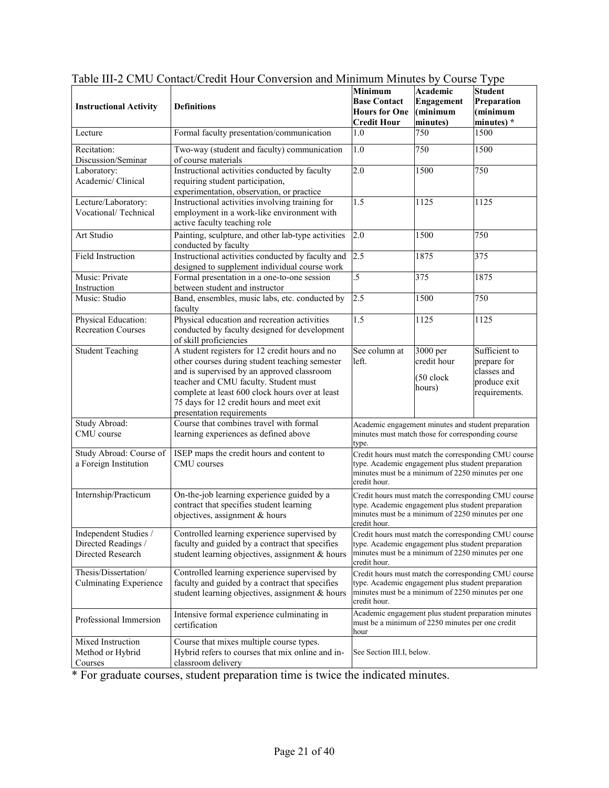|                                             | raoiv III 2 CMO Conaet Creat Trour Conversion and minimum minutes by Course Type                                                     | <b>Minimum</b>                                                                                          | Academic                                  | <b>Student</b>                                       |
|---------------------------------------------|--------------------------------------------------------------------------------------------------------------------------------------|---------------------------------------------------------------------------------------------------------|-------------------------------------------|------------------------------------------------------|
| <b>Instructional Activity</b>               | <b>Definitions</b>                                                                                                                   | <b>Base Contact</b><br><b>Hours for One</b><br><b>Credit Hour</b><br>1.0                                | <b>Engagement</b><br>(minimum<br>minutes) | Preparation<br>(minimum<br>minutes) *                |
| Lecture                                     | Formal faculty presentation/communication                                                                                            |                                                                                                         |                                           | 1500                                                 |
| Recitation:<br>Discussion/Seminar           | Two-way (student and faculty) communication<br>of course materials                                                                   | $\overline{1}.0$                                                                                        | 750                                       | 1500                                                 |
| Laboratory:                                 | Instructional activities conducted by faculty                                                                                        | 2.0                                                                                                     | 1500                                      | 750                                                  |
| Academic/Clinical                           | requiring student participation,<br>experimentation, observation, or practice                                                        |                                                                                                         |                                           |                                                      |
| Lecture/Laboratory:<br>Vocational/Technical | Instructional activities involving training for<br>1.5<br>employment in a work-like environment with<br>active faculty teaching role |                                                                                                         | 1125                                      | 1125                                                 |
| Art Studio                                  | Painting, sculpture, and other lab-type activities<br>conducted by faculty                                                           | 2.0                                                                                                     | 1500                                      | 750                                                  |
| <b>Field Instruction</b>                    | Instructional activities conducted by faculty and<br>designed to supplement individual course work                                   | 2.5                                                                                                     | 1875                                      | 375                                                  |
| Music: Private<br>Instruction               | Formal presentation in a one-to-one session<br>between student and instructor                                                        | 5                                                                                                       | 375                                       | 1875                                                 |
| Music: Studio                               | Band, ensembles, music labs, etc. conducted by<br>faculty                                                                            | 2.5                                                                                                     | 1500                                      | 750                                                  |
| Physical Education:                         | Physical education and recreation activities                                                                                         | 1.5                                                                                                     | 1125                                      | 1125                                                 |
| <b>Recreation Courses</b>                   | conducted by faculty designed for development<br>of skill proficiencies                                                              |                                                                                                         |                                           |                                                      |
| <b>Student Teaching</b>                     | A student registers for 12 credit hours and no                                                                                       | See column at                                                                                           | 3000 per                                  | Sufficient to                                        |
|                                             | other courses during student teaching semester                                                                                       | left.                                                                                                   | credit hour                               | prepare for                                          |
|                                             | and is supervised by an approved classroom                                                                                           |                                                                                                         | (50 clock                                 | classes and                                          |
|                                             | teacher and CMU faculty. Student must<br>complete at least 600 clock hours over at least                                             |                                                                                                         | hours)                                    | produce exit<br>requirements.                        |
|                                             | 75 days for 12 credit hours and meet exit                                                                                            |                                                                                                         |                                           |                                                      |
|                                             | presentation requirements                                                                                                            |                                                                                                         |                                           |                                                      |
| Study Abroad:                               | Course that combines travel with formal                                                                                              |                                                                                                         |                                           | Academic engagement minutes and student preparation  |
| CMU course                                  | learning experiences as defined above                                                                                                | minutes must match those for corresponding course<br>type.                                              |                                           |                                                      |
| Study Abroad: Course of                     | ISEP maps the credit hours and content to                                                                                            |                                                                                                         |                                           | Credit hours must match the corresponding CMU course |
| a Foreign Institution                       | CMU courses                                                                                                                          | type. Academic engagement plus student preparation<br>minutes must be a minimum of 2250 minutes per one |                                           |                                                      |
|                                             |                                                                                                                                      | credit hour.                                                                                            |                                           |                                                      |
| Internship/Practicum                        | On-the-job learning experience guided by a                                                                                           |                                                                                                         |                                           | Credit hours must match the corresponding CMU course |
|                                             | contract that specifies student learning<br>objectives, assignment & hours                                                           | type. Academic engagement plus student preparation<br>minutes must be a minimum of 2250 minutes per one |                                           |                                                      |
|                                             |                                                                                                                                      | credit hour.                                                                                            |                                           |                                                      |
| Independent Studies /                       | Controlled learning experience supervised by                                                                                         |                                                                                                         |                                           | Credit hours must match the corresponding CMU course |
| Directed Readings /                         | faculty and guided by a contract that specifies                                                                                      | type. Academic engagement plus student preparation                                                      |                                           |                                                      |
| Directed Research                           | student learning objectives, assignment & hours                                                                                      | minutes must be a minimum of 2250 minutes per one<br>credit hour.                                       |                                           |                                                      |
| Thesis/Dissertation/                        | Controlled learning experience supervised by                                                                                         | Credit hours must match the corresponding CMU course                                                    |                                           |                                                      |
| <b>Culminating Experience</b>               | faculty and guided by a contract that specifies                                                                                      | type. Academic engagement plus student preparation<br>minutes must be a minimum of 2250 minutes per one |                                           |                                                      |
|                                             | student learning objectives, assignment & hours                                                                                      | credit hour.                                                                                            |                                           |                                                      |
| Professional Immersion                      | Intensive formal experience culminating in                                                                                           |                                                                                                         |                                           | Academic engagement plus student preparation minutes |
|                                             | certification                                                                                                                        | must be a minimum of 2250 minutes per one credit<br>hour                                                |                                           |                                                      |
| Mixed Instruction                           | Course that mixes multiple course types.                                                                                             |                                                                                                         |                                           |                                                      |
| Method or Hybrid                            | Hybrid refers to courses that mix online and in-                                                                                     | See Section III.I, below.                                                                               |                                           |                                                      |
| Courses                                     | classroom delivery                                                                                                                   |                                                                                                         |                                           |                                                      |

| Table III-2 CMU Contact/Credit Hour Conversion and Minimum Minutes by Course Type |  |
|-----------------------------------------------------------------------------------|--|
|-----------------------------------------------------------------------------------|--|

\* For graduate courses, student preparation time is twice the indicated minutes.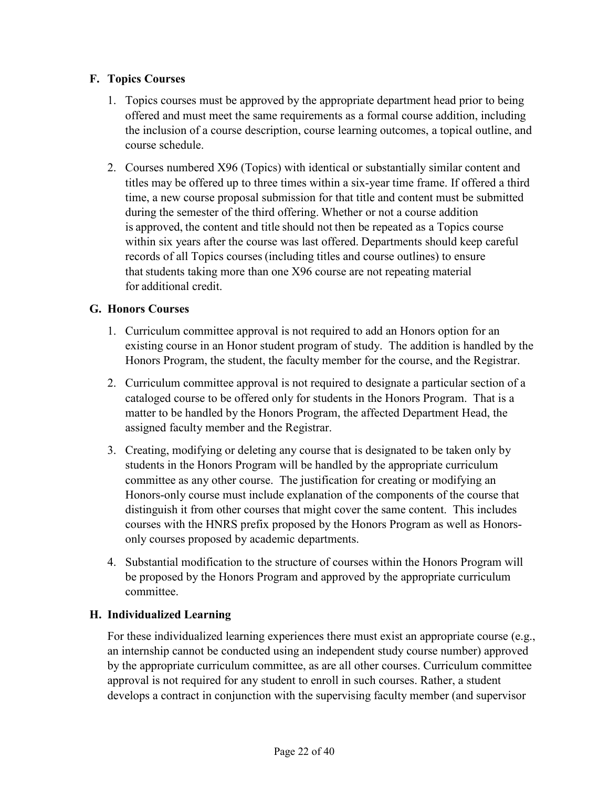#### <span id="page-21-0"></span>**F. Topics Courses**

- 1. Topics courses must be approved by the appropriate department head prior to being offered and must meet the same requirements as a formal course addition, including the inclusion of a course description, course learning outcomes, a topical outline, and course schedule.
- 2. Courses numbered X96 (Topics) with identical or substantially similar content and titles may be offered up to three times within a six-year time frame. If offered a third time, a new course proposal submission for that title and content must be submitted during the semester of the third offering. Whether or not a course addition is approved, the content and title should not then be repeated as a Topics course within six years after the course was last offered. Departments should keep careful records of all Topics courses (including titles and course outlines) to ensure that students taking more than one X96 course are not repeating material for additional credit.

#### <span id="page-21-1"></span>**G. Honors Courses**

- 1. Curriculum committee approval is not required to add an Honors option for an existing course in an Honor student program of study. The addition is handled by the Honors Program, the student, the faculty member for the course, and the Registrar.
- 2. Curriculum committee approval is not required to designate a particular section of a cataloged course to be offered only for students in the Honors Program. That is a matter to be handled by the Honors Program, the affected Department Head, the assigned faculty member and the Registrar.
- 3. Creating, modifying or deleting any course that is designated to be taken only by students in the Honors Program will be handled by the appropriate curriculum committee as any other course. The justification for creating or modifying an Honors-only course must include explanation of the components of the course that distinguish it from other courses that might cover the same content. This includes courses with the HNRS prefix proposed by the Honors Program as well as Honorsonly courses proposed by academic departments.
- 4. Substantial modification to the structure of courses within the Honors Program will be proposed by the Honors Program and approved by the appropriate curriculum committee.

#### <span id="page-21-2"></span>**H. Individualized Learning**

For these individualized learning experiences there must exist an appropriate course (e.g., an internship cannot be conducted using an independent study course number) approved by the appropriate curriculum committee, as are all other courses. Curriculum committee approval is not required for any student to enroll in such courses. Rather, a student develops a contract in conjunction with the supervising faculty member (and supervisor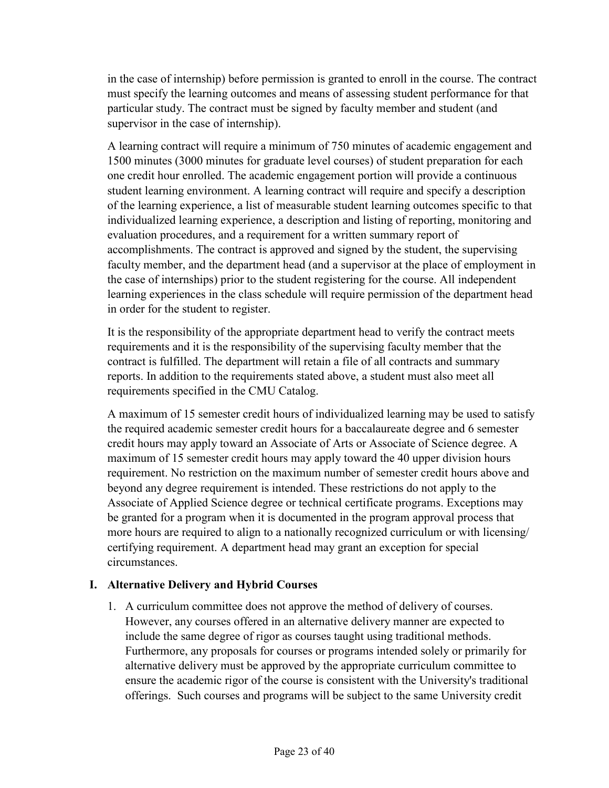in the case of internship) before permission is granted to enroll in the course. The contract must specify the learning outcomes and means of assessing student performance for that particular study. The contract must be signed by faculty member and student (and supervisor in the case of internship).

A learning contract will require a minimum of 750 minutes of academic engagement and 1500 minutes (3000 minutes for graduate level courses) of student preparation for each one credit hour enrolled. The academic engagement portion will provide a continuous student learning environment. A learning contract will require and specify a description of the learning experience, a list of measurable student learning outcomes specific to that individualized learning experience, a description and listing of reporting, monitoring and evaluation procedures, and a requirement for a written summary report of accomplishments. The contract is approved and signed by the student, the supervising faculty member, and the department head (and a supervisor at the place of employment in the case of internships) prior to the student registering for the course. All independent learning experiences in the class schedule will require permission of the department head in order for the student to register.

It is the responsibility of the appropriate department head to verify the contract meets requirements and it is the responsibility of the supervising faculty member that the contract is fulfilled. The department will retain a file of all contracts and summary reports. In addition to the requirements stated above, a student must also meet all requirements specified in the CMU Catalog.

A maximum of 15 semester credit hours of individualized learning may be used to satisfy the required academic semester credit hours for a baccalaureate degree and 6 semester credit hours may apply toward an Associate of Arts or Associate of Science degree. A maximum of 15 semester credit hours may apply toward the 40 upper division hours requirement. No restriction on the maximum number of semester credit hours above and beyond any degree requirement is intended. These restrictions do not apply to the Associate of Applied Science degree or technical certificate programs. Exceptions may be granted for a program when it is documented in the program approval process that more hours are required to align to a nationally recognized curriculum or with licensing/ certifying requirement. A department head may grant an exception for special circumstances.

#### <span id="page-22-0"></span>**I. Alternative Delivery and Hybrid Courses**

1. A curriculum committee does not approve the method of delivery of courses. However, any courses offered in an alternative delivery manner are expected to include the same degree of rigor as courses taught using traditional methods. Furthermore, any proposals for courses or programs intended solely or primarily for alternative delivery must be approved by the appropriate curriculum committee to ensure the academic rigor of the course is consistent with the University's traditional offerings. Such courses and programs will be subject to the same University credit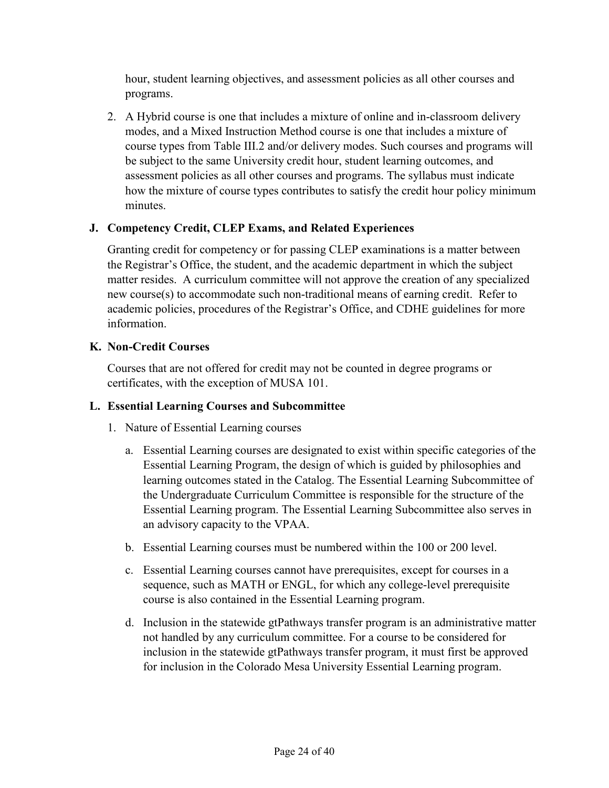hour, student learning objectives, and assessment policies as all other courses and programs.

2. A Hybrid course is one that includes a mixture of online and in-classroom delivery modes, and a Mixed Instruction Method course is one that includes a mixture of course types from Table III.2 and/or delivery modes. Such courses and programs will be subject to the same University credit hour, student learning outcomes, and assessment policies as all other courses and programs. The syllabus must indicate how the mixture of course types contributes to satisfy the credit hour policy minimum minutes.

#### <span id="page-23-0"></span>**J. Competency Credit, CLEP Exams, and Related Experiences**

Granting credit for competency or for passing CLEP examinations is a matter between the Registrar's Office, the student, and the academic department in which the subject matter resides. A curriculum committee will not approve the creation of any specialized new course(s) to accommodate such non-traditional means of earning credit. Refer to academic policies, procedures of the Registrar's Office, and CDHE guidelines for more information.

#### <span id="page-23-1"></span>**K. Non-Credit Courses**

Courses that are not offered for credit may not be counted in degree programs or certificates, with the exception of MUSA 101.

#### <span id="page-23-2"></span>**L. Essential Learning Courses and Subcommittee**

- 1. Nature of Essential Learning courses
	- a. Essential Learning courses are designated to exist within specific categories of the Essential Learning Program, the design of which is guided by philosophies and learning outcomes stated in the Catalog. The Essential Learning Subcommittee of the Undergraduate Curriculum Committee is responsible for the structure of the Essential Learning program. The Essential Learning Subcommittee also serves in an advisory capacity to the VPAA.
	- b. Essential Learning courses must be numbered within the 100 or 200 level.
	- c. Essential Learning courses cannot have prerequisites, except for courses in a sequence, such as MATH or ENGL, for which any college-level prerequisite course is also contained in the Essential Learning program.
	- d. Inclusion in the statewide gtPathways transfer program is an administrative matter not handled by any curriculum committee. For a course to be considered for inclusion in the statewide gtPathways transfer program, it must first be approved for inclusion in the Colorado Mesa University Essential Learning program.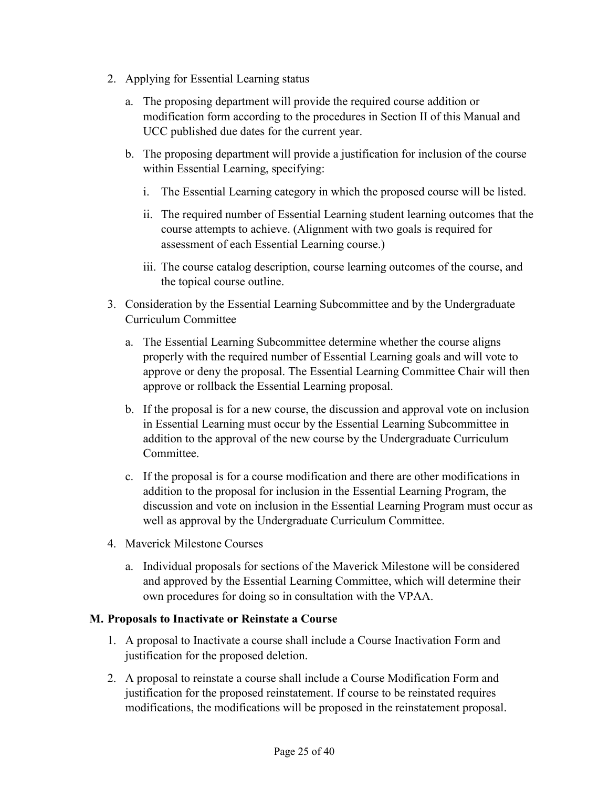- 2. Applying for Essential Learning status
	- a. The proposing department will provide the required course addition or modification form according to the procedures in Section II of this Manual and UCC published due dates for the current year.
	- b. The proposing department will provide a justification for inclusion of the course within Essential Learning, specifying:
		- i. The Essential Learning category in which the proposed course will be listed.
		- ii. The required number of Essential Learning student learning outcomes that the course attempts to achieve. (Alignment with two goals is required for assessment of each Essential Learning course.)
		- iii. The course catalog description, course learning outcomes of the course, and the topical course outline.
- 3. Consideration by the Essential Learning Subcommittee and by the Undergraduate Curriculum Committee
	- a. The Essential Learning Subcommittee determine whether the course aligns properly with the required number of Essential Learning goals and will vote to approve or deny the proposal. The Essential Learning Committee Chair will then approve or rollback the Essential Learning proposal.
	- b. If the proposal is for a new course, the discussion and approval vote on inclusion in Essential Learning must occur by the Essential Learning Subcommittee in addition to the approval of the new course by the Undergraduate Curriculum Committee.
	- c. If the proposal is for a course modification and there are other modifications in addition to the proposal for inclusion in the Essential Learning Program, the discussion and vote on inclusion in the Essential Learning Program must occur as well as approval by the Undergraduate Curriculum Committee.
- 4. Maverick Milestone Courses
	- a. Individual proposals for sections of the Maverick Milestone will be considered and approved by the Essential Learning Committee, which will determine their own procedures for doing so in consultation with the VPAA.

#### <span id="page-24-0"></span>**M. Proposals to Inactivate or Reinstate a Course**

- 1. A proposal to Inactivate a course shall include a Course Inactivation Form and justification for the proposed deletion.
- 2. A proposal to reinstate a course shall include a Course Modification Form and justification for the proposed reinstatement. If course to be reinstated requires modifications, the modifications will be proposed in the reinstatement proposal.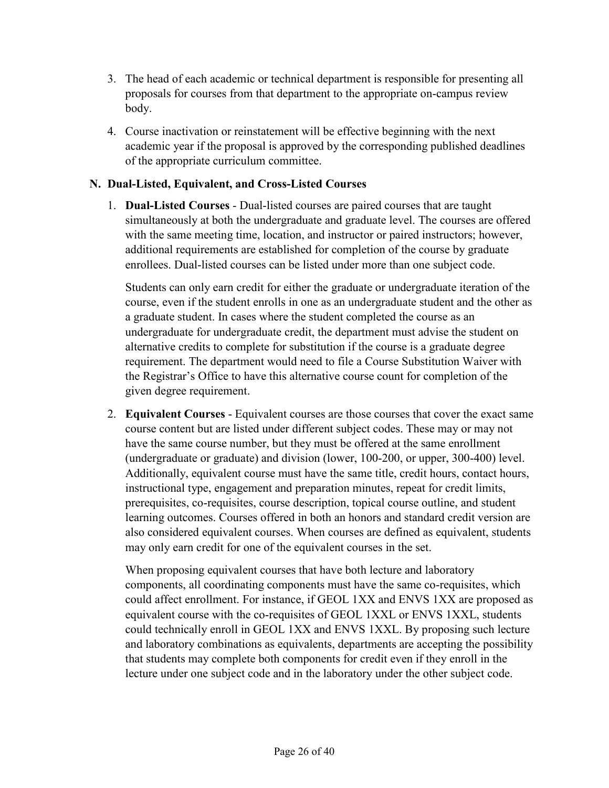- 3. The head of each academic or technical department is responsible for presenting all proposals for courses from that department to the appropriate on-campus review body.
- 4. Course inactivation or reinstatement will be effective beginning with the next academic year if the proposal is approved by the corresponding published deadlines of the appropriate curriculum committee.

#### <span id="page-25-0"></span>**N. Dual-Listed, Equivalent, and Cross-Listed Courses**

1. **Dual-Listed Courses** - Dual-listed courses are paired courses that are taught simultaneously at both the undergraduate and graduate level. The courses are offered with the same meeting time, location, and instructor or paired instructors; however, additional requirements are established for completion of the course by graduate enrollees. Dual-listed courses can be listed under more than one subject code.

Students can only earn credit for either the graduate or undergraduate iteration of the course, even if the student enrolls in one as an undergraduate student and the other as a graduate student. In cases where the student completed the course as an undergraduate for undergraduate credit, the department must advise the student on alternative credits to complete for substitution if the course is a graduate degree requirement. The department would need to file a Course Substitution Waiver with the Registrar's Office to have this alternative course count for completion of the given degree requirement.

2. **Equivalent Courses** - Equivalent courses are those courses that cover the exact same course content but are listed under different subject codes. These may or may not have the same course number, but they must be offered at the same enrollment (undergraduate or graduate) and division (lower, 100-200, or upper, 300-400) level. Additionally, equivalent course must have the same title, credit hours, contact hours, instructional type, engagement and preparation minutes, repeat for credit limits, prerequisites, co-requisites, course description, topical course outline, and student learning outcomes. Courses offered in both an honors and standard credit version are also considered equivalent courses. When courses are defined as equivalent, students may only earn credit for one of the equivalent courses in the set.

When proposing equivalent courses that have both lecture and laboratory components, all coordinating components must have the same co-requisites, which could affect enrollment. For instance, if GEOL 1XX and ENVS 1XX are proposed as equivalent course with the co-requisites of GEOL 1XXL or ENVS 1XXL, students could technically enroll in GEOL 1XX and ENVS 1XXL. By proposing such lecture and laboratory combinations as equivalents, departments are accepting the possibility that students may complete both components for credit even if they enroll in the lecture under one subject code and in the laboratory under the other subject code.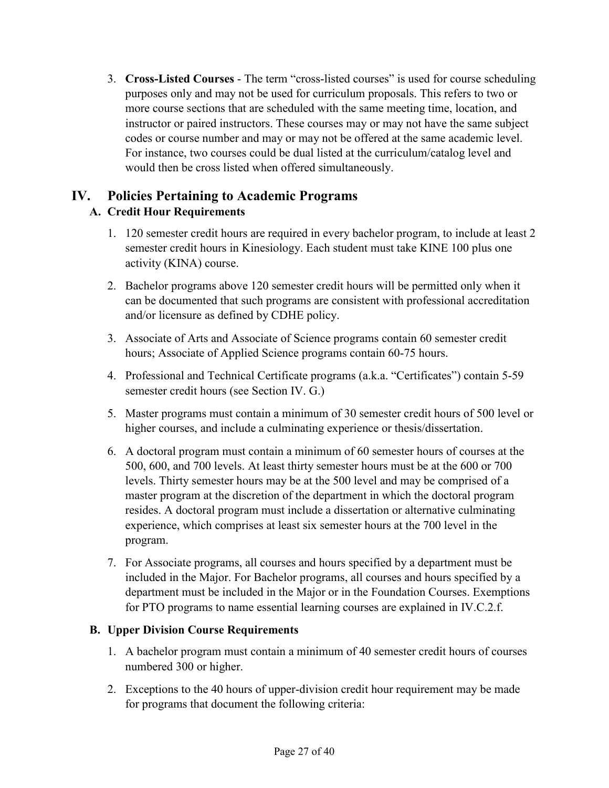3. **Cross-Listed Courses** - The term "cross-listed courses" is used for course scheduling purposes only and may not be used for curriculum proposals. This refers to two or more course sections that are scheduled with the same meeting time, location, and instructor or paired instructors. These courses may or may not have the same subject codes or course number and may or may not be offered at the same academic level. For instance, two courses could be dual listed at the curriculum/catalog level and would then be cross listed when offered simultaneously.

# <span id="page-26-1"></span><span id="page-26-0"></span>**IV. Policies Pertaining to Academic Programs**

### **A. Credit Hour Requirements**

- 1. 120 semester credit hours are required in every bachelor program, to include at least 2 semester credit hours in Kinesiology. Each student must take KINE 100 plus one activity (KINA) course.
- 2. Bachelor programs above 120 semester credit hours will be permitted only when it can be documented that such programs are consistent with professional accreditation and/or licensure as defined by CDHE policy.
- 3. Associate of Arts and Associate of Science programs contain 60 semester credit hours; Associate of Applied Science programs contain 60-75 hours.
- 4. Professional and Technical Certificate programs (a.k.a. "Certificates") contain 5-59 semester credit hours (see Section IV. G.)
- 5. Master programs must contain a minimum of 30 semester credit hours of 500 level or higher courses, and include a culminating experience or thesis/dissertation.
- 6. A doctoral program must contain a minimum of 60 semester hours of courses at the 500, 600, and 700 levels. At least thirty semester hours must be at the 600 or 700 levels. Thirty semester hours may be at the 500 level and may be comprised of a master program at the discretion of the department in which the doctoral program resides. A doctoral program must include a dissertation or alternative culminating experience, which comprises at least six semester hours at the 700 level in the program.
- 7. For Associate programs, all courses and hours specified by a department must be included in the Major. For Bachelor programs, all courses and hours specified by a department must be included in the Major or in the Foundation Courses. Exemptions for PTO programs to name essential learning courses are explained in IV.C.2.f.

#### <span id="page-26-2"></span>**B. Upper Division Course Requirements**

- 1. A bachelor program must contain a minimum of 40 semester credit hours of courses numbered 300 or higher.
- 2. Exceptions to the 40 hours of upper-division credit hour requirement may be made for programs that document the following criteria: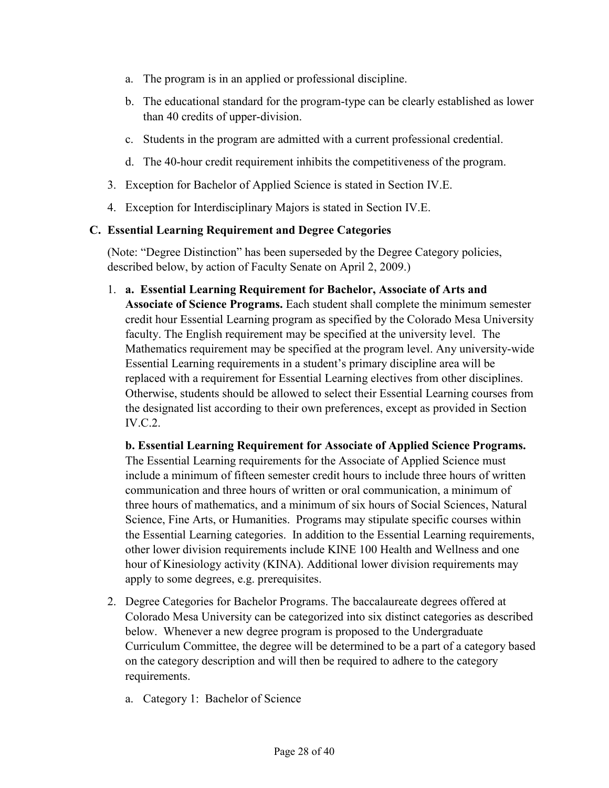- a. The program is in an applied or professional discipline.
- b. The educational standard for the program-type can be clearly established as lower than 40 credits of upper-division.
- c. Students in the program are admitted with a current professional credential.
- d. The 40-hour credit requirement inhibits the competitiveness of the program.
- 3. Exception for Bachelor of Applied Science is stated in Section IV.E.
- 4. Exception for Interdisciplinary Majors is stated in Section IV.E.

#### <span id="page-27-0"></span>**C. Essential Learning Requirement and Degree Categories**

(Note: "Degree Distinction" has been superseded by the Degree Category policies, described below, by action of Faculty Senate on April 2, 2009.)

1. **a. Essential Learning Requirement for Bachelor, Associate of Arts and Associate of Science Programs.** Each student shall complete the minimum semester credit hour Essential Learning program as specified by the Colorado Mesa University faculty. The English requirement may be specified at the university level. The Mathematics requirement may be specified at the program level. Any university-wide Essential Learning requirements in a student's primary discipline area will be replaced with a requirement for Essential Learning electives from other disciplines. Otherwise, students should be allowed to select their Essential Learning courses from the designated list according to their own preferences, except as provided in Section IV.C.2.

**b. Essential Learning Requirement for Associate of Applied Science Programs.** The Essential Learning requirements for the Associate of Applied Science must include a minimum of fifteen semester credit hours to include three hours of written communication and three hours of written or oral communication, a minimum of three hours of mathematics, and a minimum of six hours of Social Sciences, Natural Science, Fine Arts, or Humanities. Programs may stipulate specific courses within the Essential Learning categories. In addition to the Essential Learning requirements, other lower division requirements include KINE 100 Health and Wellness and one hour of Kinesiology activity (KINA). Additional lower division requirements may apply to some degrees, e.g. prerequisites.

- 2. Degree Categories for Bachelor Programs. The baccalaureate degrees offered at Colorado Mesa University can be categorized into six distinct categories as described below. Whenever a new degree program is proposed to the Undergraduate Curriculum Committee, the degree will be determined to be a part of a category based on the category description and will then be required to adhere to the category requirements.
	- a. Category 1: Bachelor of Science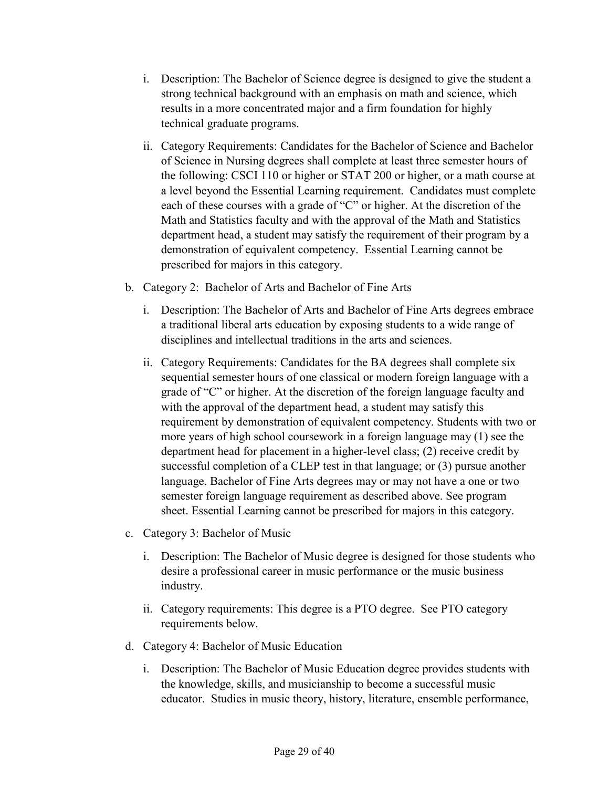- i. Description: The Bachelor of Science degree is designed to give the student a strong technical background with an emphasis on math and science, which results in a more concentrated major and a firm foundation for highly technical graduate programs.
- ii. Category Requirements: Candidates for the Bachelor of Science and Bachelor of Science in Nursing degrees shall complete at least three semester hours of the following: CSCI 110 or higher or STAT 200 or higher, or a math course at a level beyond the Essential Learning requirement. Candidates must complete each of these courses with a grade of "C" or higher. At the discretion of the Math and Statistics faculty and with the approval of the Math and Statistics department head, a student may satisfy the requirement of their program by a demonstration of equivalent competency. Essential Learning cannot be prescribed for majors in this category.
- b. Category 2: Bachelor of Arts and Bachelor of Fine Arts
	- i. Description: The Bachelor of Arts and Bachelor of Fine Arts degrees embrace a traditional liberal arts education by exposing students to a wide range of disciplines and intellectual traditions in the arts and sciences.
	- ii. Category Requirements: Candidates for the BA degrees shall complete six sequential semester hours of one classical or modern foreign language with a grade of "C" or higher. At the discretion of the foreign language faculty and with the approval of the department head, a student may satisfy this requirement by demonstration of equivalent competency. Students with two or more years of high school coursework in a foreign language may (1) see the department head for placement in a higher-level class; (2) receive credit by successful completion of a CLEP test in that language; or (3) pursue another language. Bachelor of Fine Arts degrees may or may not have a one or two semester foreign language requirement as described above. See program sheet. Essential Learning cannot be prescribed for majors in this category.
- c. Category 3: Bachelor of Music
	- i. Description: The Bachelor of Music degree is designed for those students who desire a professional career in music performance or the music business industry.
	- ii. Category requirements: This degree is a PTO degree. See PTO category requirements below.
- d. Category 4: Bachelor of Music Education
	- i. Description: The Bachelor of Music Education degree provides students with the knowledge, skills, and musicianship to become a successful music educator. Studies in music theory, history, literature, ensemble performance,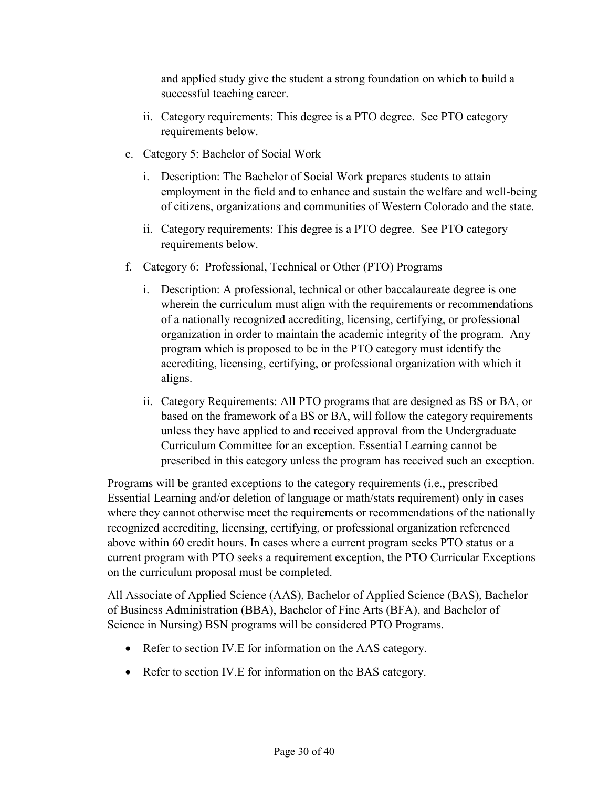and applied study give the student a strong foundation on which to build a successful teaching career.

- ii. Category requirements: This degree is a PTO degree. See PTO category requirements below.
- e. Category 5: Bachelor of Social Work
	- i. Description: The Bachelor of Social Work prepares students to attain employment in the field and to enhance and sustain the welfare and well-being of citizens, organizations and communities of Western Colorado and the state.
	- ii. Category requirements: This degree is a PTO degree. See PTO category requirements below.
- f. Category 6: Professional, Technical or Other (PTO) Programs
	- i. Description: A professional, technical or other baccalaureate degree is one wherein the curriculum must align with the requirements or recommendations of a nationally recognized accrediting, licensing, certifying, or professional organization in order to maintain the academic integrity of the program. Any program which is proposed to be in the PTO category must identify the accrediting, licensing, certifying, or professional organization with which it aligns.
	- ii. Category Requirements: All PTO programs that are designed as BS or BA, or based on the framework of a BS or BA, will follow the category requirements unless they have applied to and received approval from the Undergraduate Curriculum Committee for an exception. Essential Learning cannot be prescribed in this category unless the program has received such an exception.

Programs will be granted exceptions to the category requirements (i.e., prescribed Essential Learning and/or deletion of language or math/stats requirement) only in cases where they cannot otherwise meet the requirements or recommendations of the nationally recognized accrediting, licensing, certifying, or professional organization referenced above within 60 credit hours. In cases where a current program seeks PTO status or a current program with PTO seeks a requirement exception, the PTO Curricular Exceptions on the curriculum proposal must be completed.

All Associate of Applied Science (AAS), Bachelor of Applied Science (BAS), Bachelor of Business Administration (BBA), Bachelor of Fine Arts (BFA), and Bachelor of Science in Nursing) BSN programs will be considered PTO Programs.

- Refer to section IV.E for information on the AAS category.
- Refer to section IV.E for information on the BAS category.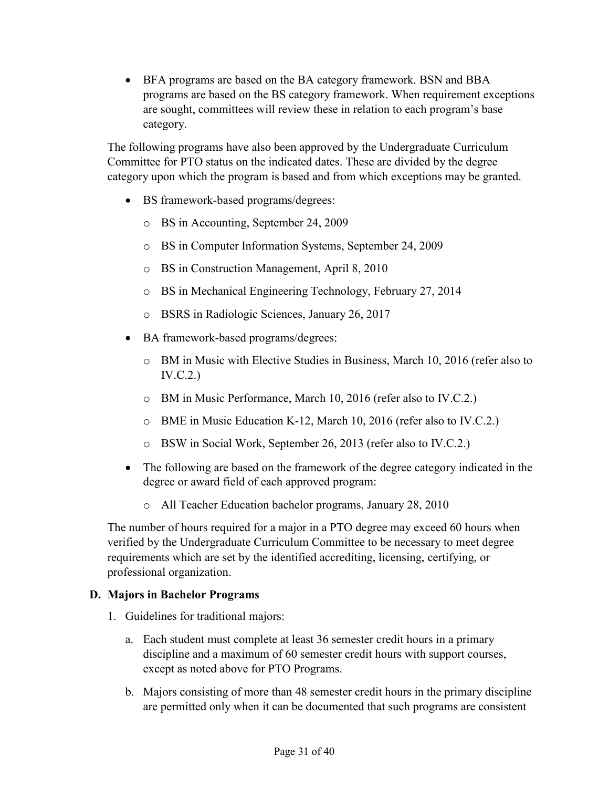• BFA programs are based on the BA category framework. BSN and BBA programs are based on the BS category framework. When requirement exceptions are sought, committees will review these in relation to each program's base category.

The following programs have also been approved by the Undergraduate Curriculum Committee for PTO status on the indicated dates. These are divided by the degree category upon which the program is based and from which exceptions may be granted.

- BS framework-based programs/degrees:
	- o BS in Accounting, September 24, 2009
	- o BS in Computer Information Systems, September 24, 2009
	- o BS in Construction Management, April 8, 2010
	- o BS in Mechanical Engineering Technology, February 27, 2014
	- o BSRS in Radiologic Sciences, January 26, 2017
- BA framework-based programs/degrees:
	- o BM in Music with Elective Studies in Business, March 10, 2016 (refer also to IV.C.2.)
	- o BM in Music Performance, March 10, 2016 (refer also to IV.C.2.)
	- o BME in Music Education K-12, March 10, 2016 (refer also to IV.C.2.)
	- o BSW in Social Work, September 26, 2013 (refer also to IV.C.2.)
- The following are based on the framework of the degree category indicated in the degree or award field of each approved program:
	- o All Teacher Education bachelor programs, January 28, 2010

The number of hours required for a major in a PTO degree may exceed 60 hours when verified by the Undergraduate Curriculum Committee to be necessary to meet degree requirements which are set by the identified accrediting, licensing, certifying, or professional organization.

#### <span id="page-30-0"></span>**D. Majors in Bachelor Programs**

- 1. Guidelines for traditional majors:
	- a. Each student must complete at least 36 semester credit hours in a primary discipline and a maximum of 60 semester credit hours with support courses, except as noted above for PTO Programs.
	- b. Majors consisting of more than 48 semester credit hours in the primary discipline are permitted only when it can be documented that such programs are consistent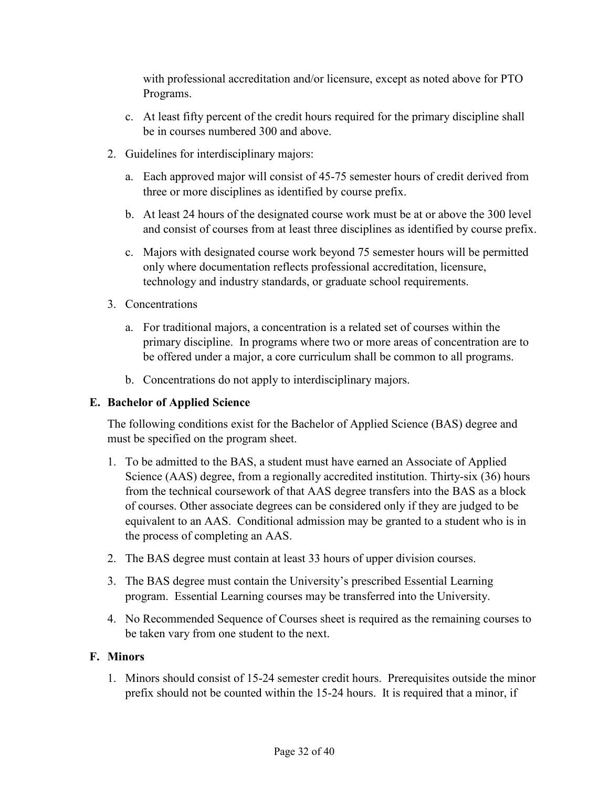with professional accreditation and/or licensure, except as noted above for PTO Programs.

- c. At least fifty percent of the credit hours required for the primary discipline shall be in courses numbered 300 and above.
- 2. Guidelines for interdisciplinary majors:
	- a. Each approved major will consist of 45-75 semester hours of credit derived from three or more disciplines as identified by course prefix.
	- b. At least 24 hours of the designated course work must be at or above the 300 level and consist of courses from at least three disciplines as identified by course prefix.
	- c. Majors with designated course work beyond 75 semester hours will be permitted only where documentation reflects professional accreditation, licensure, technology and industry standards, or graduate school requirements.
- 3. Concentrations
	- a. For traditional majors, a concentration is a related set of courses within the primary discipline. In programs where two or more areas of concentration are to be offered under a major, a core curriculum shall be common to all programs.
	- b. Concentrations do not apply to interdisciplinary majors.

#### <span id="page-31-0"></span>**E. Bachelor of Applied Science**

The following conditions exist for the Bachelor of Applied Science (BAS) degree and must be specified on the program sheet.

- 1. To be admitted to the BAS, a student must have earned an Associate of Applied Science (AAS) degree, from a regionally accredited institution. Thirty-six (36) hours from the technical coursework of that AAS degree transfers into the BAS as a block of courses. Other associate degrees can be considered only if they are judged to be equivalent to an AAS. Conditional admission may be granted to a student who is in the process of completing an AAS.
- 2. The BAS degree must contain at least 33 hours of upper division courses.
- 3. The BAS degree must contain the University's prescribed Essential Learning program. Essential Learning courses may be transferred into the University.
- 4. No Recommended Sequence of Courses sheet is required as the remaining courses to be taken vary from one student to the next.

#### <span id="page-31-1"></span>**F. Minors**

1. Minors should consist of 15-24 semester credit hours. Prerequisites outside the minor prefix should not be counted within the 15-24 hours. It is required that a minor, if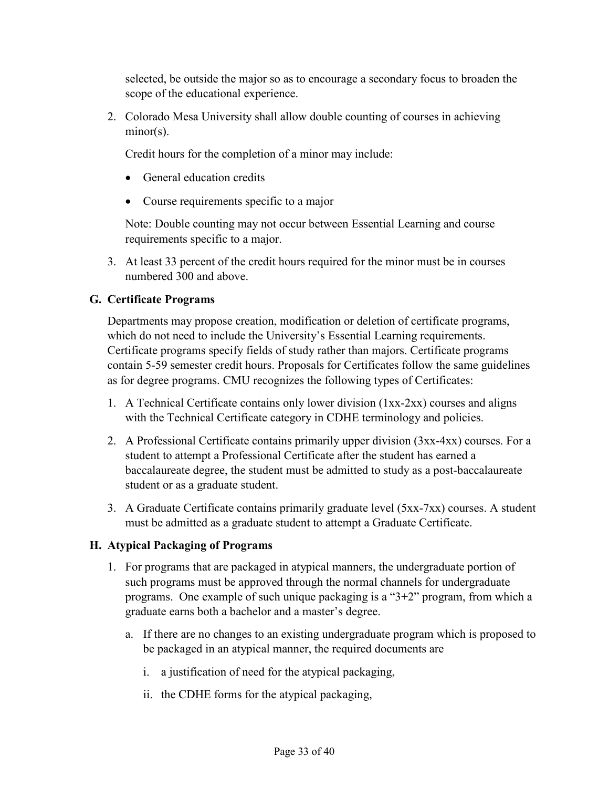selected, be outside the major so as to encourage a secondary focus to broaden the scope of the educational experience.

2. Colorado Mesa University shall allow double counting of courses in achieving minor(s).

Credit hours for the completion of a minor may include:

- General education credits
- Course requirements specific to a major

Note: Double counting may not occur between Essential Learning and course requirements specific to a major.

3. At least 33 percent of the credit hours required for the minor must be in courses numbered 300 and above.

#### <span id="page-32-0"></span>**G. Certificate Programs**

Departments may propose creation, modification or deletion of certificate programs, which do not need to include the University's Essential Learning requirements. Certificate programs specify fields of study rather than majors. Certificate programs contain 5-59 semester credit hours. Proposals for Certificates follow the same guidelines as for degree programs. CMU recognizes the following types of Certificates:

- 1. A Technical Certificate contains only lower division (1xx-2xx) courses and aligns with the Technical Certificate category in CDHE terminology and policies.
- 2. A Professional Certificate contains primarily upper division (3xx-4xx) courses. For a student to attempt a Professional Certificate after the student has earned a baccalaureate degree, the student must be admitted to study as a post-baccalaureate student or as a graduate student.
- 3. A Graduate Certificate contains primarily graduate level (5xx-7xx) courses. A student must be admitted as a graduate student to attempt a Graduate Certificate.

#### <span id="page-32-1"></span>**H. Atypical Packaging of Programs**

- 1. For programs that are packaged in atypical manners, the undergraduate portion of such programs must be approved through the normal channels for undergraduate programs. One example of such unique packaging is a " $3+2$ " program, from which a graduate earns both a bachelor and a master's degree.
	- a. If there are no changes to an existing undergraduate program which is proposed to be packaged in an atypical manner, the required documents are
		- i. a justification of need for the atypical packaging,
		- ii. the CDHE forms for the atypical packaging,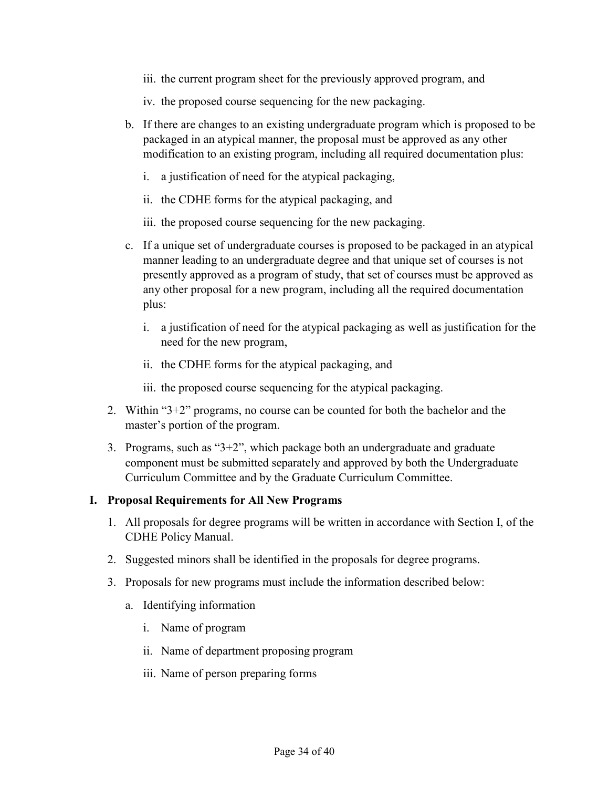iii. the current program sheet for the previously approved program, and

iv. the proposed course sequencing for the new packaging.

- b. If there are changes to an existing undergraduate program which is proposed to be packaged in an atypical manner, the proposal must be approved as any other modification to an existing program, including all required documentation plus:
	- i. a justification of need for the atypical packaging,
	- ii. the CDHE forms for the atypical packaging, and
	- iii. the proposed course sequencing for the new packaging.
- c. If a unique set of undergraduate courses is proposed to be packaged in an atypical manner leading to an undergraduate degree and that unique set of courses is not presently approved as a program of study, that set of courses must be approved as any other proposal for a new program, including all the required documentation plus:
	- i. a justification of need for the atypical packaging as well as justification for the need for the new program,
	- ii. the CDHE forms for the atypical packaging, and
	- iii. the proposed course sequencing for the atypical packaging.
- 2. Within "3+2" programs, no course can be counted for both the bachelor and the master's portion of the program.
- 3. Programs, such as " $3+2$ ", which package both an undergraduate and graduate component must be submitted separately and approved by both the Undergraduate Curriculum Committee and by the Graduate Curriculum Committee.

#### <span id="page-33-0"></span>**I. Proposal Requirements for All New Programs**

- 1. All proposals for degree programs will be written in accordance with Section I, of the CDHE Policy Manual.
- 2. Suggested minors shall be identified in the proposals for degree programs.
- 3. Proposals for new programs must include the information described below:
	- a. Identifying information
		- i. Name of program
		- ii. Name of department proposing program
		- iii. Name of person preparing forms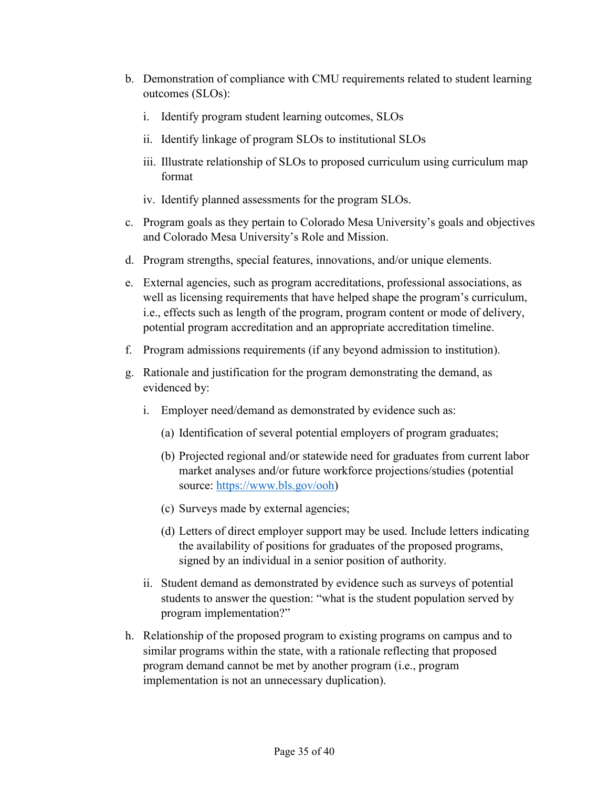- b. Demonstration of compliance with CMU requirements related to student learning outcomes (SLOs):
	- i. Identify program student learning outcomes, SLOs
	- ii. Identify linkage of program SLOs to institutional SLOs
	- iii. Illustrate relationship of SLOs to proposed curriculum using curriculum map format
	- iv. Identify planned assessments for the program SLOs.
- c. Program goals as they pertain to Colorado Mesa University's goals and objectives and Colorado Mesa University's Role and Mission.
- d. Program strengths, special features, innovations, and/or unique elements.
- e. External agencies, such as program accreditations, professional associations, as well as licensing requirements that have helped shape the program's curriculum, i.e., effects such as length of the program, program content or mode of delivery, potential program accreditation and an appropriate accreditation timeline.
- f. Program admissions requirements (if any beyond admission to institution).
- g. Rationale and justification for the program demonstrating the demand, as evidenced by:
	- i. Employer need/demand as demonstrated by evidence such as:
		- (a) Identification of several potential employers of program graduates;
		- (b) Projected regional and/or statewide need for graduates from current labor market analyses and/or future workforce projections/studies (potential source: [https://www.bls.gov/ooh\)](https://www.bls.gov/ooh)
		- (c) Surveys made by external agencies;
		- (d) Letters of direct employer support may be used. Include letters indicating the availability of positions for graduates of the proposed programs, signed by an individual in a senior position of authority.
	- ii. Student demand as demonstrated by evidence such as surveys of potential students to answer the question: "what is the student population served by program implementation?"
- h. Relationship of the proposed program to existing programs on campus and to similar programs within the state, with a rationale reflecting that proposed program demand cannot be met by another program (i.e., program implementation is not an unnecessary duplication).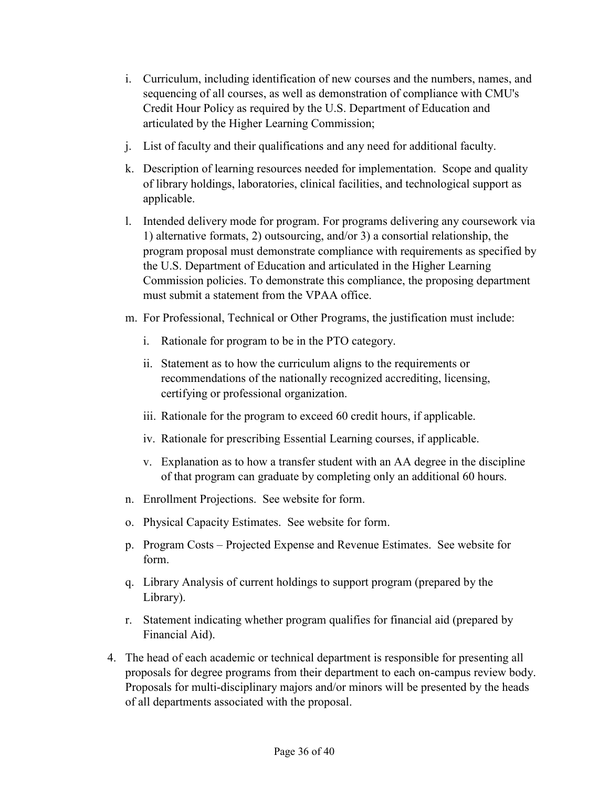- i. Curriculum, including identification of new courses and the numbers, names, and sequencing of all courses, as well as demonstration of compliance with CMU's Credit Hour Policy as required by the U.S. Department of Education and articulated by the Higher Learning Commission;
- j. List of faculty and their qualifications and any need for additional faculty.
- k. Description of learning resources needed for implementation. Scope and quality of library holdings, laboratories, clinical facilities, and technological support as applicable.
- l. Intended delivery mode for program. For programs delivering any coursework via 1) alternative formats, 2) outsourcing, and/or 3) a consortial relationship, the program proposal must demonstrate compliance with requirements as specified by the U.S. Department of Education and articulated in the Higher Learning Commission policies. To demonstrate this compliance, the proposing department must submit a statement from the VPAA office.
- m. For Professional, Technical or Other Programs, the justification must include:
	- i. Rationale for program to be in the PTO category.
	- ii. Statement as to how the curriculum aligns to the requirements or recommendations of the nationally recognized accrediting, licensing, certifying or professional organization.
	- iii. Rationale for the program to exceed 60 credit hours, if applicable.
	- iv. Rationale for prescribing Essential Learning courses, if applicable.
	- v. Explanation as to how a transfer student with an AA degree in the discipline of that program can graduate by completing only an additional 60 hours.
- n. Enrollment Projections. See website for form.
- o. Physical Capacity Estimates. See website for form.
- p. Program Costs Projected Expense and Revenue Estimates. See website for form.
- q. Library Analysis of current holdings to support program (prepared by the Library).
- r. Statement indicating whether program qualifies for financial aid (prepared by Financial Aid).
- 4. The head of each academic or technical department is responsible for presenting all proposals for degree programs from their department to each on-campus review body. Proposals for multi-disciplinary majors and/or minors will be presented by the heads of all departments associated with the proposal.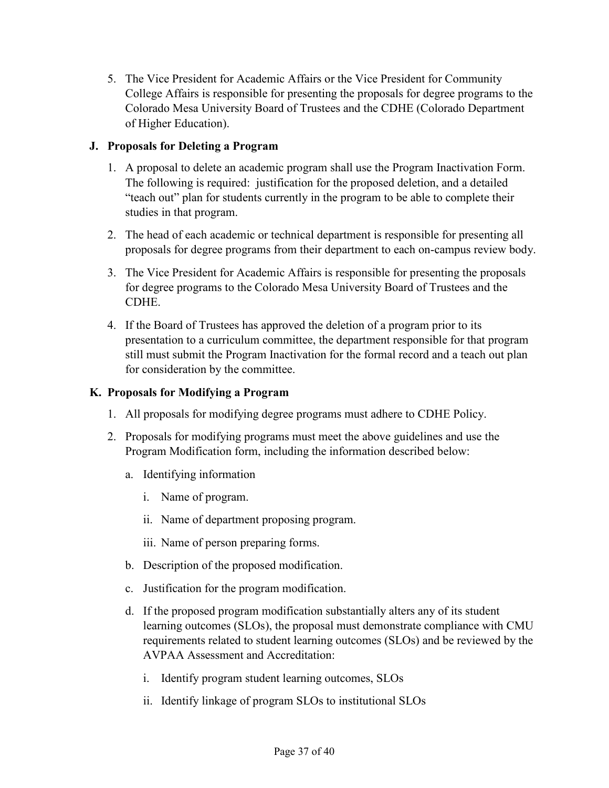5. The Vice President for Academic Affairs or the Vice President for Community College Affairs is responsible for presenting the proposals for degree programs to the Colorado Mesa University Board of Trustees and the CDHE (Colorado Department of Higher Education).

#### <span id="page-36-0"></span>**J. Proposals for Deleting a Program**

- 1. A proposal to delete an academic program shall use the Program Inactivation Form. The following is required: justification for the proposed deletion, and a detailed "teach out" plan for students currently in the program to be able to complete their studies in that program.
- 2. The head of each academic or technical department is responsible for presenting all proposals for degree programs from their department to each on-campus review body.
- 3. The Vice President for Academic Affairs is responsible for presenting the proposals for degree programs to the Colorado Mesa University Board of Trustees and the CDHE.
- 4. If the Board of Trustees has approved the deletion of a program prior to its presentation to a curriculum committee, the department responsible for that program still must submit the Program Inactivation for the formal record and a teach out plan for consideration by the committee.

#### <span id="page-36-1"></span>**K. Proposals for Modifying a Program**

- 1. All proposals for modifying degree programs must adhere to CDHE Policy.
- 2. Proposals for modifying programs must meet the above guidelines and use the Program Modification form, including the information described below:
	- a. Identifying information
		- i. Name of program.
		- ii. Name of department proposing program.
		- iii. Name of person preparing forms.
	- b. Description of the proposed modification.
	- c. Justification for the program modification.
	- d. If the proposed program modification substantially alters any of its student learning outcomes (SLOs), the proposal must demonstrate compliance with CMU requirements related to student learning outcomes (SLOs) and be reviewed by the AVPAA Assessment and Accreditation:
		- i. Identify program student learning outcomes, SLOs
		- ii. Identify linkage of program SLOs to institutional SLOs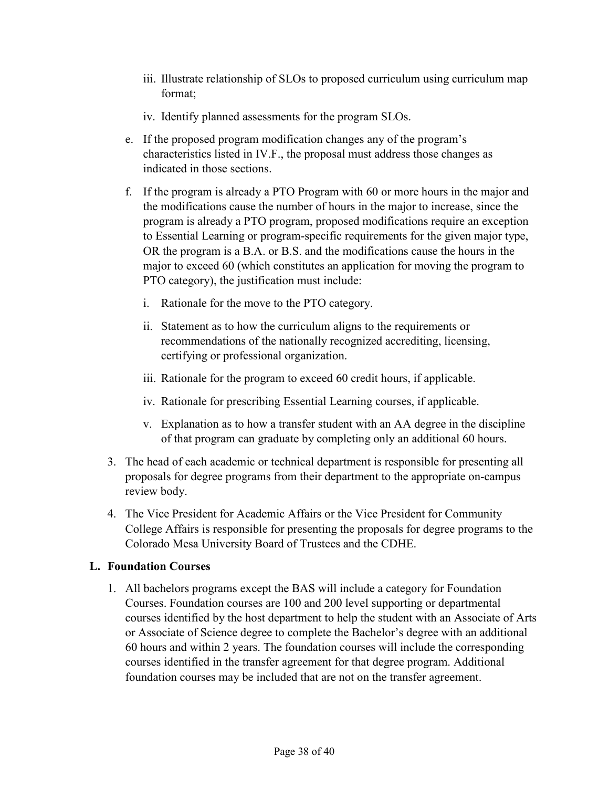- iii. Illustrate relationship of SLOs to proposed curriculum using curriculum map format;
- iv. Identify planned assessments for the program SLOs.
- e. If the proposed program modification changes any of the program's characteristics listed in IV.F., the proposal must address those changes as indicated in those sections.
- f. If the program is already a PTO Program with 60 or more hours in the major and the modifications cause the number of hours in the major to increase, since the program is already a PTO program, proposed modifications require an exception to Essential Learning or program-specific requirements for the given major type, OR the program is a B.A. or B.S. and the modifications cause the hours in the major to exceed 60 (which constitutes an application for moving the program to PTO category), the justification must include:
	- i. Rationale for the move to the PTO category.
	- ii. Statement as to how the curriculum aligns to the requirements or recommendations of the nationally recognized accrediting, licensing, certifying or professional organization.
	- iii. Rationale for the program to exceed 60 credit hours, if applicable.
	- iv. Rationale for prescribing Essential Learning courses, if applicable.
	- v. Explanation as to how a transfer student with an AA degree in the discipline of that program can graduate by completing only an additional 60 hours.
- 3. The head of each academic or technical department is responsible for presenting all proposals for degree programs from their department to the appropriate on-campus review body.
- 4. The Vice President for Academic Affairs or the Vice President for Community College Affairs is responsible for presenting the proposals for degree programs to the Colorado Mesa University Board of Trustees and the CDHE.

#### <span id="page-37-0"></span>**L. Foundation Courses**

1. All bachelors programs except the BAS will include a category for Foundation Courses. Foundation courses are 100 and 200 level supporting or departmental courses identified by the host department to help the student with an Associate of Arts or Associate of Science degree to complete the Bachelor's degree with an additional 60 hours and within 2 years. The foundation courses will include the corresponding courses identified in the transfer agreement for that degree program. Additional foundation courses may be included that are not on the transfer agreement.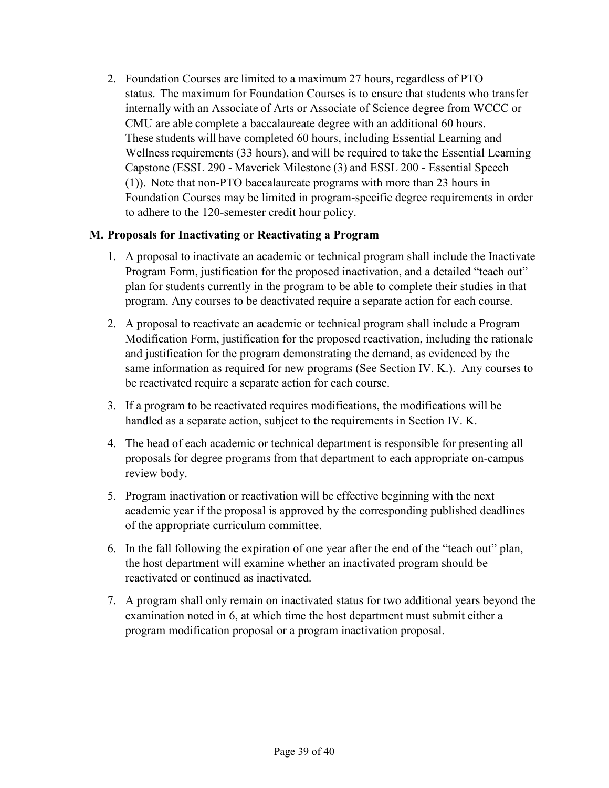2. Foundation Courses are limited to a maximum 27 hours, regardless of PTO status.  The maximum for Foundation Courses is to ensure that students who transfer internally with an Associate of Arts or Associate of Science degree from WCCC or CMU are able complete a baccalaureate degree with an additional 60 hours. These students will have completed 60 hours, including Essential Learning and Wellness requirements (33 hours), and will be required to take the Essential Learning Capstone (ESSL 290 - Maverick Milestone (3) and ESSL 200 - Essential Speech (1)).  Note that non-PTO baccalaureate programs with more than 23 hours in Foundation Courses may be limited in program-specific degree requirements in order to adhere to the 120-semester credit hour policy.

#### <span id="page-38-0"></span>**M. Proposals for Inactivating or Reactivating a Program**

- 1. A proposal to inactivate an academic or technical program shall include the Inactivate Program Form, justification for the proposed inactivation, and a detailed "teach out" plan for students currently in the program to be able to complete their studies in that program. Any courses to be deactivated require a separate action for each course.
- 2. A proposal to reactivate an academic or technical program shall include a Program Modification Form, justification for the proposed reactivation, including the rationale and justification for the program demonstrating the demand, as evidenced by the same information as required for new programs (See Section IV. K.). Any courses to be reactivated require a separate action for each course.
- 3. If a program to be reactivated requires modifications, the modifications will be handled as a separate action, subject to the requirements in Section IV. K.
- 4. The head of each academic or technical department is responsible for presenting all proposals for degree programs from that department to each appropriate on-campus review body.
- 5. Program inactivation or reactivation will be effective beginning with the next academic year if the proposal is approved by the corresponding published deadlines of the appropriate curriculum committee.
- 6. In the fall following the expiration of one year after the end of the "teach out" plan, the host department will examine whether an inactivated program should be reactivated or continued as inactivated.
- 7. A program shall only remain on inactivated status for two additional years beyond the examination noted in 6, at which time the host department must submit either a program modification proposal or a program inactivation proposal.